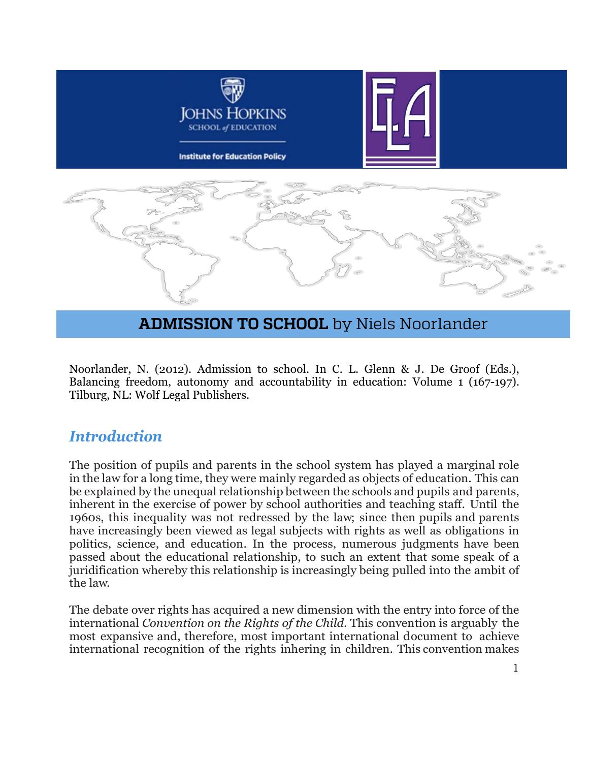

# **ADMISSION TO SCHOOL** by Niels Noorlander

Noorlander, N. (2012). Admission to school. In C. L. Glenn & J. De Groof (Eds.), Balancing freedom, autonomy and accountability in education: Volume 1 (167-197). Tilburg, NL: Wolf Legal Publishers.

#### *Introduction*

The position of pupils and parents in the school system has played a marginal role in the law for a long time, they were mainly regarded as objects of education. This can be explained by the unequal relationship between the schools and pupils and parents, inherent in the exercise of power by school authorities and teaching staff. Until the 1960s, this inequality was not redressed by the law; since then pupils and parents have increasingly been viewed as legal subjects with rights as well as obligations in politics, science, and education. In the process, numerous judgments have been passed about the educational relationship, to such an extent that some speak of a juridification whereby this relationship is increasingly being pulled into the ambit of the law.

The debate over rights has acquired a new dimension with the entry into force of the international *Convention on the Rights of the Child*. This convention is arguably the most expansive and, therefore, most important international document to achieve international recognition of the rights inhering in children. This convention makes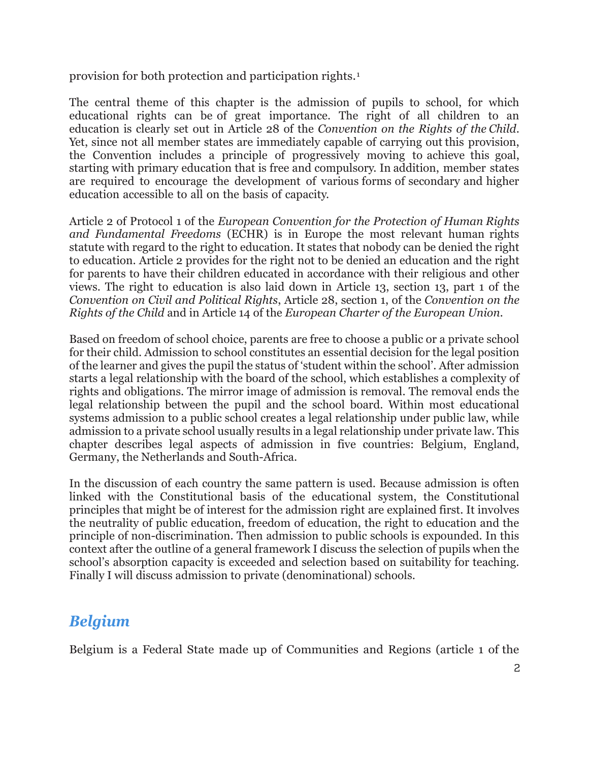provision for both protection and participation rights.[1](#page-29-0)

The central theme of this chapter is the admission of pupils to school, for which educational rights can be of great importance. The right of all children to an education is clearly set out in Article 28 of the *Convention on the Rights of the Child*. Yet, since not all member states are immediately capable of carrying out this provision, the Convention includes a principle of progressively moving to achieve this goal, starting with primary education that is free and compulsory. In addition, member states are required to encourage the development of various forms of secondary and higher education accessible to all on the basis of capacity.

Article 2 of Protocol 1 of the *European Convention for the Protection of Human Rights and Fundamental Freedoms* (ECHR) is in Europe the most relevant human rights statute with regard to the right to education. It states that nobody can be denied the right to education. Article 2 provides for the right not to be denied an education and the right for parents to have their children educated in accordance with their religious and other views. The right to education is also laid down in Article 13, section 13, part 1 of the *Convention on Civil and Political Rights*, Article 28, section 1, of the *Convention on the Rights of the Child* and in Article 14 of the *European Charter of the European Union.*

Based on freedom of school choice, parents are free to choose a public or a private school for their child. Admission to school constitutes an essential decision for the legal position of the learner and gives the pupil the status of 'student within the school'. After admission starts a legal relationship with the board of the school, which establishes a complexity of rights and obligations. The mirror image of admission is removal. The removal ends the legal relationship between the pupil and the school board. Within most educational systems admission to a public school creates a legal relationship under public law, while admission to a private school usually results in a legal relationship under private law. This chapter describes legal aspects of admission in five countries: Belgium, England, Germany, the Netherlands and South-Africa.

In the discussion of each country the same pattern is used. Because admission is often linked with the Constitutional basis of the educational system, the Constitutional principles that might be of interest for the admission right are explained first. It involves the neutrality of public education, freedom of education, the right to education and the principle of non-discrimination. Then admission to public schools is expounded. In this context after the outline of a general framework I discuss the selection of pupils when the school's absorption capacity is exceeded and selection based on suitability for teaching. Finally I will discuss admission to private (denominational) schools.

#### *Belgium*

Belgium is a Federal State made up of Communities and Regions (article 1 of the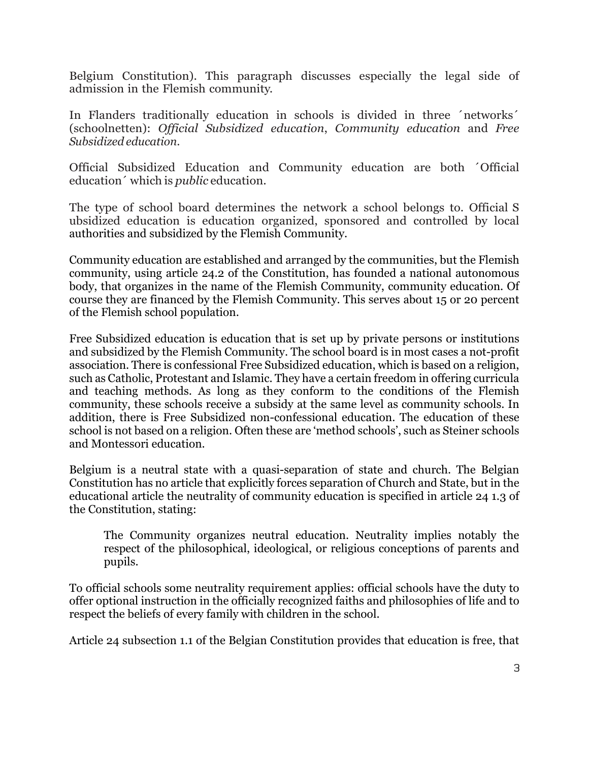Belgium Constitution). This paragraph discusses especially the legal side of admission in the Flemish community.

In Flanders traditionally education in schools is divided in three ´networks´ (schoolnetten): *Official Subsidized education*, *Community education* and *Free Subsidized education*.

Official Subsidized Education and Community education are both ´Official education´ which is *public* education.

The type of school board determines the network a school belongs to. Official S ubsidized education is education organized, sponsored and controlled by local authorities and subsidized by the Flemish Community.

Community education are established and arranged by the communities, but the Flemish community, using article 24.2 of the Constitution, has founded a national autonomous body, that organizes in the name of the Flemish Community, community education. Of course they are financed by the Flemish Community. This serves about 15 or 20 percent of the Flemish school population.

Free Subsidized education is education that is set up by private persons or institutions and subsidized by the Flemish Community. The school board is in most cases a not-profit association. There is confessional Free Subsidized education, which is based on a religion, such as Catholic, Protestant and Islamic. They have a certain freedom in offering curricula and teaching methods. As long as they conform to the conditions of the Flemish community, these schools receive a subsidy at the same level as community schools. In addition, there is Free Subsidized non-confessional education. The education of these school is not based on a religion. Often these are 'method schools', such as Steiner schools and Montessori education.

Belgium is a neutral state with a quasi-separation of state and church. The Belgian Constitution has no article that explicitly forces separation of Church and State, but in the educational article the neutrality of community education is specified in article 24 1.3 of the Constitution, stating:

The Community organizes neutral education. Neutrality implies notably the respect of the philosophical, ideological, or religious conceptions of parents and pupils.

To official schools some neutrality requirement applies: official schools have the duty to offer optional instruction in the officially recognized faiths and philosophies of life and to respect the beliefs of every family with children in the school.

Article 24 subsection 1.1 of the Belgian Constitution provides that education is free, that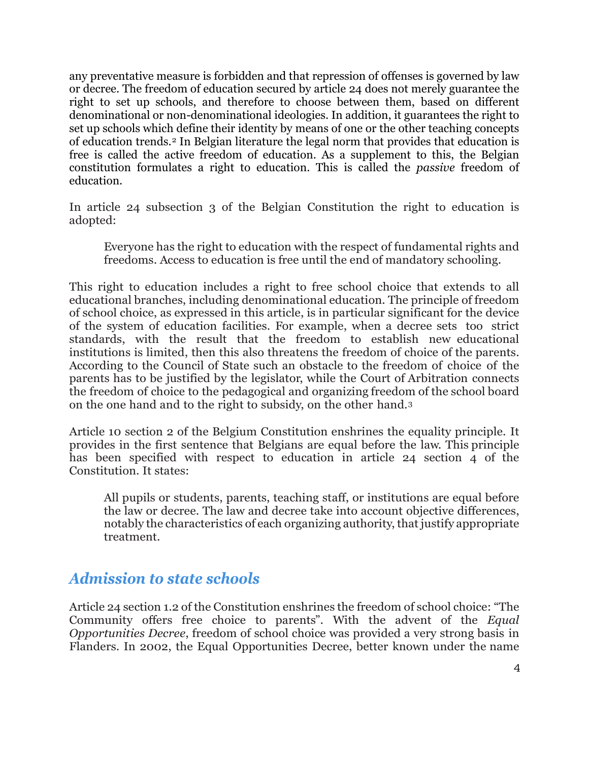any preventative measure is forbidden and that repression of offenses is governed by law or decree. The freedom of education secured by article 24 does not merely guarantee the right to set up schools, and therefore to choose between them, based on different denominational or non-denominational ideologies. In addition, it guarantees the right to set up schools which define their identity by means of one or the other teaching concepts of education trends.[2](#page-29-1) In Belgian literature the legal norm that provides that education is free is called the active freedom of education. As a supplement to this, the Belgian constitution formulates a right to education. This is called the *passive* freedom of education.

In article 24 subsection 3 of the Belgian Constitution the right to education is adopted:

Everyone has the right to education with the respect of fundamental rights and freedoms. Access to education is free until the end of mandatory schooling.

This right to education includes a right to free school choice that extends to all educational branches, including denominational education. The principle of freedom of school choice, as expressed in this article, is in particular significant for the device of the system of education facilities. For example, when a decree sets too strict standards, with the result that the freedom to establish new educational institutions is limited, then this also threatens the freedom of choice of the parents. According to the Council of State such an obstacle to the freedom of choice of the parents has to be justified by the legislator, while the Court of Arbitration connects the freedom of choice to the pedagogical and organizing freedom of the school board on the one hand and to the right to subsidy, on the other hand.[3](#page-29-2)

Article 10 section 2 of the Belgium Constitution enshrines the equality principle. It provides in the first sentence that Belgians are equal before the law. This principle has been specified with respect to education in article 24 section 4 of the Constitution. It states:

All pupils or students, parents, teaching staff, or institutions are equal before the law or decree. The law and decree take into account objective differences, notably the characteristics of each organizing authority, that justify appropriate treatment.

#### *Admission to state schools*

Article 24 section 1.2 of the Constitution enshrines the freedom of school choice: "The Community offers free choice to parents". With the advent of the *Equal Opportunities Decree*, freedom of school choice was provided a very strong basis in Flanders. In 2002, the Equal Opportunities Decree, better known under the name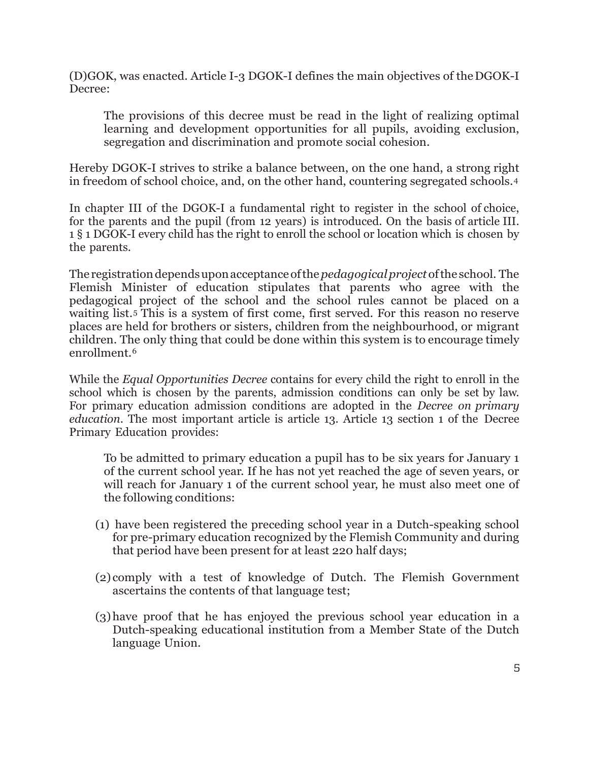(D)GOK, was enacted. Article I-3 DGOK-I defines the main objectives of theDGOK-I Decree:

The provisions of this decree must be read in the light of realizing optimal learning and development opportunities for all pupils, avoiding exclusion, segregation and discrimination and promote social cohesion.

Hereby DGOK-I strives to strike a balance between, on the one hand, a strong right in freedom of school choice, and, on the other hand, countering segregated schools.[4](#page-29-3)

In chapter III of the DGOK-I a fundamental right to register in the school of choice, for the parents and the pupil (from 12 years) is introduced. On the basis of article III. 1 § 1 DGOK-I every child has the right to enroll the school or location which is chosen by the parents.

Theregistrationdependsuponacceptanceofthe*pedagogicalproject*ofthe school. The Flemish Minister of education stipulates that parents who agree with the pedagogical project of the school and the school rules cannot be placed on a waiting list.[5](#page-29-4) This is a system of first come, first served. For this reason no reserve places are held for brothers or sisters, children from the neighbourhood, or migrant children. The only thing that could be done within this system is to encourage timely enrollment.[6](#page-29-5)

While the *Equal Opportunities Decree* contains for every child the right to enroll in the school which is chosen by the parents, admission conditions can only be set by law. For primary education admission conditions are adopted in the *Decree on primary education*. The most important article is article 13. Article 13 section 1 of the Decree Primary Education provides:

To be admitted to primary education a pupil has to be six years for January 1 of the current school year. If he has not yet reached the age of seven years, or will reach for January 1 of the current school year, he must also meet one of the following conditions:

- (1) have been registered the preceding school year in a Dutch-speaking school for pre-primary education recognized by the Flemish Community and during that period have been present for at least 220 half days;
- (2) comply with a test of knowledge of Dutch. The Flemish Government ascertains the contents of that language test;
- (3)have proof that he has enjoyed the previous school year education in a Dutch-speaking educational institution from a Member State of the Dutch language Union.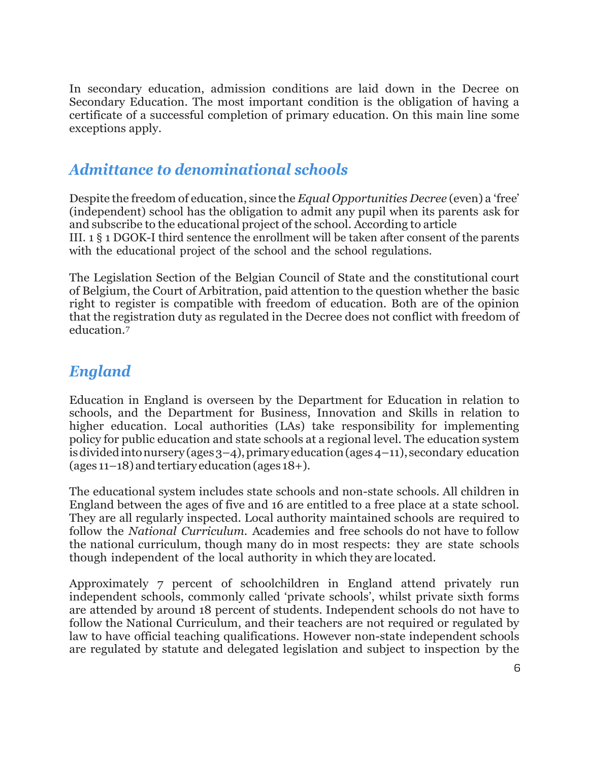In secondary education, admission conditions are laid down in the Decree on Secondary Education. The most important condition is the obligation of having a certificate of a successful completion of primary education. On this main line some exceptions apply.

### *Admittance to denominational schools*

Despite the freedom of education, since the *Equal Opportunities Decree* (even) a 'free' (independent) school has the obligation to admit any pupil when its parents ask for and subscribe to the educational project of the school. According to article III. 1 § 1 DGOK-I third sentence the enrollment will be taken after consent of the parents with the educational project of the school and the school regulations.

The Legislation Section of the Belgian Council of State and the constitutional court of Belgium, the Court of Arbitration, paid attention to the question whether the basic right to register is compatible with freedom of education. Both are of the opinion that the registration duty as regulated in the Decree does not conflict with freedom of education.[7](#page-29-6)

## *England*

Education in England is overseen by the Department for Education in relation to schools, and the Department for Business, Innovation and Skills in relation to higher education. Local authorities (LAs) take responsibility for implementing policy for public education and state schools at a regional level. The education system is divided into nursery (ages  $3-4$ ), primary education (ages  $4-11$ ), secondary education (ages  $11-18$ ) and tertiary education (ages  $18+$ ).

The educational system includes state schools and non-state schools. All children in England between the ages of five and 16 are entitled to a free place at a state school. They are all regularly inspected. Local authority maintained schools are required to follow the *National Curriculum*. Academies and free schools do not have to follow the national curriculum, though many do in most respects: they are state schools though independent of the local authority in which they are located.

Approximately 7 percent of schoolchildren in England attend privately run independent schools, commonly called 'private schools', whilst private sixth forms are attended by around 18 percent of students. Independent schools do not have to follow the National Curriculum, and their teachers are not required or regulated by law to have official teaching qualifications. However non-state independent schools are regulated by statute and delegated legislation and subject to inspection by the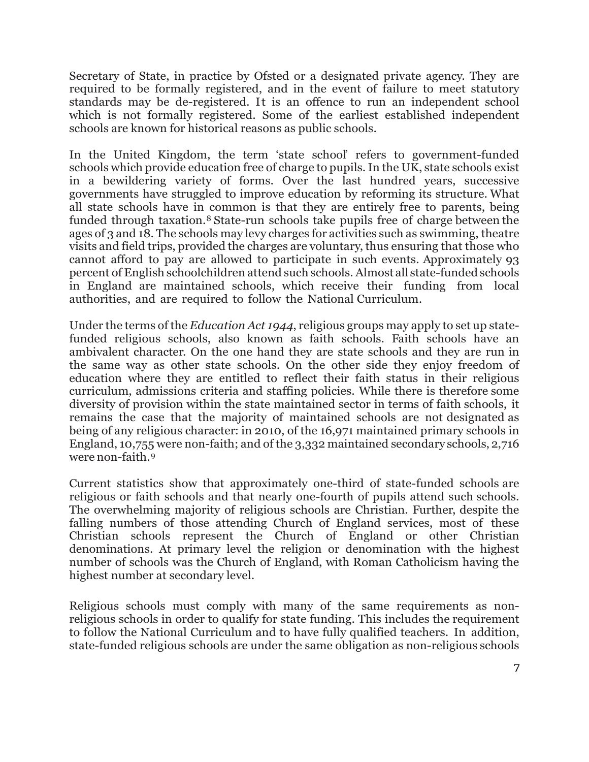Secretary of State, in practice by Ofsted or a designated private agency. They are required to be formally registered, and in the event of failure to meet statutory standards may be de-registered. It is an offence to run an independent school which is not formally registered. Some of the earliest established independent schools are known for historical reasons as public schools.

In the United Kingdom, the term 'state school' refers to government-funded schools which provide education free of charge to pupils.In the UK, state schools exist in a bewildering variety of forms. Over the last hundred years, successive governments have struggled to improve education by reforming its structure. What all state schools have in common is that they are entirely free to parents, being funded through taxation.[8](#page-29-7) State-run schools take pupils free of charge between the ages of 3 and 18. The schools may levy charges for activities such as swimming, theatre visits and field trips, provided the charges are voluntary, thus ensuring that those who cannot afford to pay are allowed to participate in such events. Approximately 93 percent of English schoolchildren attend such schools. Almost all state-fundedschools in England are maintained schools, which receive their funding from local authorities, and are required to follow the National Curriculum.

Under the terms of the *Education Act 1944*, religious groups may apply to set up statefunded religious schools, also known as faith schools. Faith schools have an ambivalent character. On the one hand they are state schools and they are run in the same way as other state schools. On the other side they enjoy freedom of education where they are entitled to reflect their faith status in their religious curriculum, admissions criteria and staffing policies. While there is therefore some diversity of provision within the state maintained sector in terms of faith schools, it remains the case that the majority of maintained schools are not designated as being of any religious character: in 2010, of the 16,971 maintained primary schools in England, 10,755 were non-faith; and of the 3,332 maintained secondary schools, 2,716 were non-faith.[9](#page-29-8)

Current statistics show that approximately one-third of state-funded schools are religious or faith schools and that nearly one-fourth of pupils attend such schools. The overwhelming majority of religious schools are Christian. Further, despite the falling numbers of those attending Church of England services, most of these Christian schools represent the Church of England or other Christian denominations. At primary level the religion or denomination with the highest number of schools was the Church of England, with Roman Catholicism having the highest number at secondary level.

Religious schools must comply with many of the same requirements as nonreligious schools in order to qualify for state funding. This includes the requirement to follow the National Curriculum and to have fully qualified teachers. In addition, state-funded religious schools are under the same obligation as non-religious schools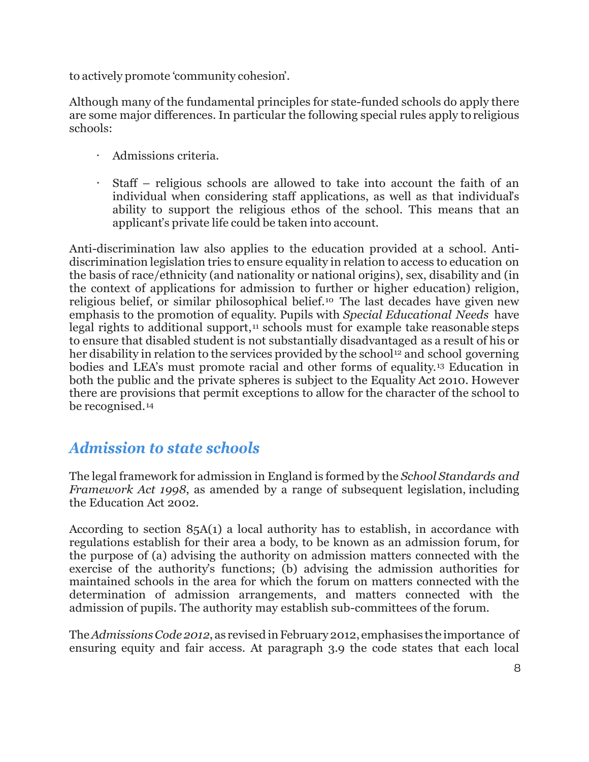to actively promote 'community cohesion'.

Although many of the fundamental principles for state-funded schools do apply there are some major differences. In particular the following special rules apply to religious schools:

- Admissions criteria.
- Staff religious schools are allowed to take into account the faith of an individual when considering staff applications, as well as that individual's ability to support the religious ethos of the school. This means that an applicant's private life could be taken into account.

Anti-discrimination law also applies to the education provided at a school. Antidiscrimination legislation tries to ensure equality in relation to access to education on the basis of race/ethnicity (and nationality or national origins), sex, disability and (in the context of applications for admission to further or higher education) religion, religious belief, or similar philosophical belief.[10](#page-29-9) The last decades have given new emphasis to the promotion of equality. Pupils with *Special Educational Needs* have legal rights to additional support, $11$  schools must for example take reasonable steps to ensure that disabled student is not substantially disadvantaged as a result of his or her disability in relation to the services provided by the school<sup>[12](#page-29-11)</sup> and school governing bodies and LEA's must promote racial and other forms of equality.[13](#page-29-12) Education in both the public and the private spheres is subject to the Equality Act 2010. However there are provisions that permit exceptions to allow for the character of the school to be recognised.[14](#page-29-13)

## *Admission to state schools*

The legal framework for admission in England is formed by the *School Standards and Framework Act 1998*, as amended by a range of subsequent legislation, including the Education Act 2002.

According to section 85A(1) a local authority has to establish, in accordance with regulations establish for their area a body, to be known as an admission forum, for the purpose of (a) advising the authority on admission matters connected with the exercise of the authority's functions; (b) advising the admission authorities for maintained schools in the area for which the forum on matters connected with the determination of admission arrangements, and matters connected with the admission of pupils. The authority may establish sub-committees of the forum.

The *Admissions Code 2012*, as revised in February 2012, emphasises the importance of ensuring equity and fair access. At paragraph 3.9 the code states that each local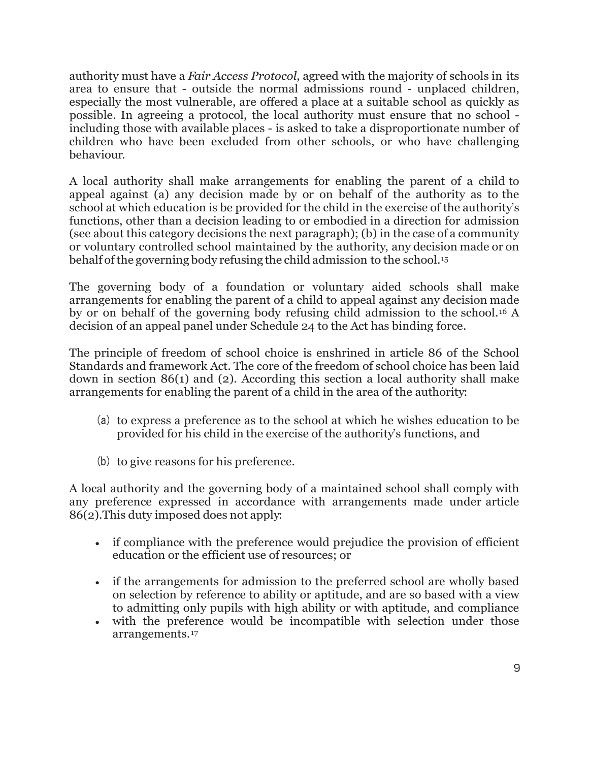authority must have a *Fair Access Protocol*, agreed with the majority of schools in its area to ensure that - outside the normal admissions round - unplaced children, especially the most vulnerable, are offered a place at a suitable school as quickly as possible. In agreeing a protocol, the local authority must ensure that no school including those with available places - is asked to take a disproportionate number of children who have been excluded from other schools, or who have challenging behaviour.

A local authority shall make arrangements for enabling the parent of a child to appeal against (a) any decision made by or on behalf of the authority as to the school at which education is be provided for the child in the exercise of the authority's functions, other than a decision leading to or embodied in a direction for admission (see about this category decisions the next paragraph); (b) in the case of a community or voluntary controlled school maintained by the authority, any decision made or on behalf ofthe governing body refusing the child admission to the school.[15](#page-29-14)

The governing body of a foundation or voluntary aided schools shall make arrangements for enabling the parent of a child to appeal against any decision made by or on behalf of the governing body refusing child admission to the school.[16](#page-30-0) A decision of an appeal panel under Schedule 24 to the Act has binding force.

The principle of freedom of school choice is enshrined in article 86 of the School Standards and framework Act. The core of the freedom of school choice has been laid down in section 86(1) and (2). According this section a local authority shall make arrangements for enabling the parent of a child in the area of the authority:

- (a) to express a preference as to the school at which he wishes education to be provided for his child in the exercise of the authority's functions, and
- (b) to give reasons for his preference.

A local authority and the governing body of a maintained school shall comply with any preference expressed in accordance with arrangements made under article 86(2).This duty imposed does not apply:

- if compliance with the preference would prejudice the provision of efficient education or the efficient use of resources; or
- if the arrangements for admission to the preferred school are wholly based on selection by reference to ability or aptitude, and are so based with a view to admitting only pupils with high ability or with aptitude, and compliance
- with the preference would be incompatible with selection under those arrangements.[17](#page-30-1)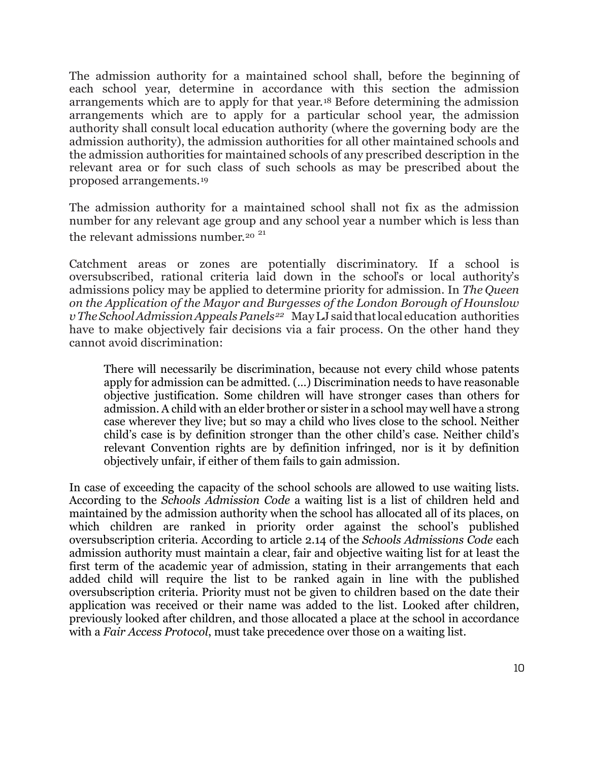The admission authority for a maintained school shall, before the beginning of each school year, determine in accordance with this section the admission arrangements which are to apply for that year.[18](#page-30-2) Before determining the admission arrangements which are to apply for a particular school year, the admission authority shall consult local education authority (where the governing body are the admission authority), the admission authorities for all other maintained schools and the admission authorities for maintained schools of any prescribed description in the relevant area or for such class of such schools as may be prescribed about the proposed arrangements.[19](#page-30-3)

The admission authority for a maintained school shall not fix as the admission number for any relevant age group and any school year a number which is less than the relevant admissions number.<sup>[20](#page-30-4)</sup><sup>[21](#page-30-5)</sup>

Catchment areas or zones are potentially discriminatory. If a school is oversubscribed, rational criteria laid down in the school's or local authority's admissions policy may be applied to determine priority for admission. In *The Queen on the Application of the Mayor and Burgesses of the London Borough of Hounslow vTheSchoolAdmissionAppealsPanels[22](#page-30-6)* MayLJ saidthatlocal education authorities have to make objectively fair decisions via a fair process. On the other hand they cannot avoid discrimination:

There will necessarily be discrimination, because not every child whose patents apply for admission can be admitted. (…) Discrimination needs to have reasonable objective justification. Some children will have stronger cases than others for admission. A child with an elder brother or sister in a school may well have a strong case wherever they live; but so may a child who lives close to the school. Neither child's case is by definition stronger than the other child's case. Neither child's relevant Convention rights are by definition infringed, nor is it by definition objectively unfair, if either of them fails to gain admission.

In case of exceeding the capacity of the school schools are allowed to use waiting lists. According to the *Schools Admission Code* a waiting list is a list of children held and maintained by the admission authority when the school has allocated all of its places, on which children are ranked in priority order against the school's published oversubscription criteria. According to article 2.14 of the *Schools Admissions Code* each admission authority must maintain a clear, fair and objective waiting list for at least the first term of the academic year of admission, stating in their arrangements that each added child will require the list to be ranked again in line with the published oversubscription criteria. Priority must not be given to children based on the date their application was received or their name was added to the list. Looked after children, previously looked after children, and those allocated a place at the school in accordance with a *Fair Access Protocol*, must take precedence over those on a waiting list.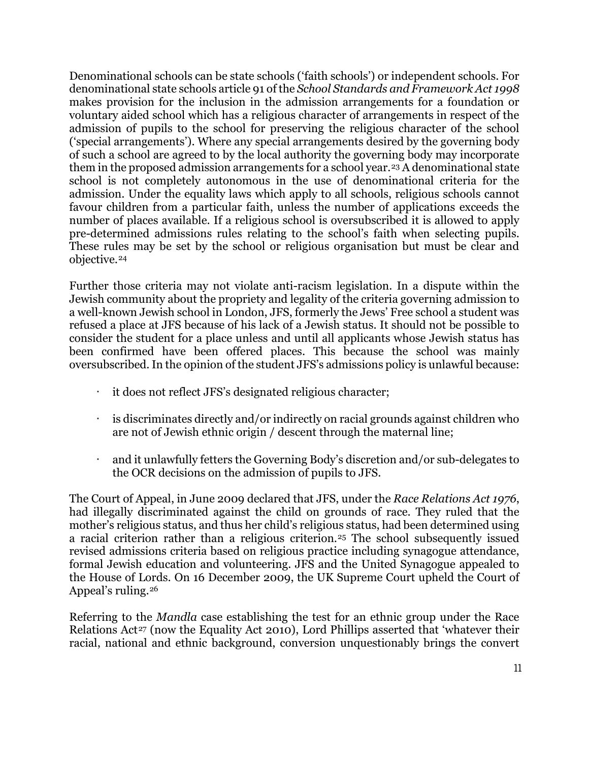Denominational schools can be state schools ('faith schools') or independent schools. For denominational state schools article 91 of the *School Standards and Framework Act 1998*  makes provision for the inclusion in the admission arrangements for a foundation or voluntary aided school which has a religious character of arrangements in respect of the admission of pupils to the school for preserving the religious character of the school ('special arrangements'). Where any special arrangements desired by the governing body of such a school are agreed to by the local authority the governing body may incorporate them in the proposed admission arrangements for a school year.[23](#page-30-7) A denominational state school is not completely autonomous in the use of denominational criteria for the admission. Under the equality laws which apply to all schools, religious schools cannot favour children from a particular faith, unless the number of applications exceeds the number of places available. If a religious school is oversubscribed it is allowed to apply pre-determined admissions rules relating to the school's faith when selecting pupils. These rules may be set by the school or religious organisation but must be clear and objective.[24](#page-30-8)

Further those criteria may not violate anti-racism legislation. In a dispute within the Jewish community about the propriety and legality of the criteria governing admission to a well-known Jewish school in London, JFS, formerly the Jews' Free school a student was refused a place at JFS because of his lack of a Jewish status. It should not be possible to consider the student for a place unless and until all applicants whose Jewish status has been confirmed have been offered places. This because the school was mainly oversubscribed. In the opinion of the student JFS's admissions policy is unlawful because:

- it does not reflect JFS's designated religious character;
- is discriminates directly and/or indirectly on racial grounds against children who are not of Jewish ethnic origin / descent through the maternal line;
- and it unlawfully fetters the Governing Body's discretion and/or sub-delegates to the OCR decisions on the admission of pupils to JFS.

The Court of Appeal, in June 2009 declared that JFS, under the *Race Relations Act 1976*, had illegally discriminated against the child on grounds of race. They ruled that the mother's religious status, and thus her child's religious status, had been determined using a racial criterion rather than a religious criterion.[25](#page-30-9) The school subsequently issued revised admissions criteria based on religious practice including synagogue attendance, formal Jewish education and volunteering. JFS and the United Synagogue appealed to the House of Lords. On 16 December 2009, the UK Supreme Court upheld the Court of Appeal's ruling.[26](#page-30-10)

Referring to the *Mandla* case establishing the test for an ethnic group under the Race Relations Act<sup>[27](#page-30-11)</sup> (now the Equality Act 2010), Lord Phillips asserted that 'whatever their racial, national and ethnic background, conversion unquestionably brings the convert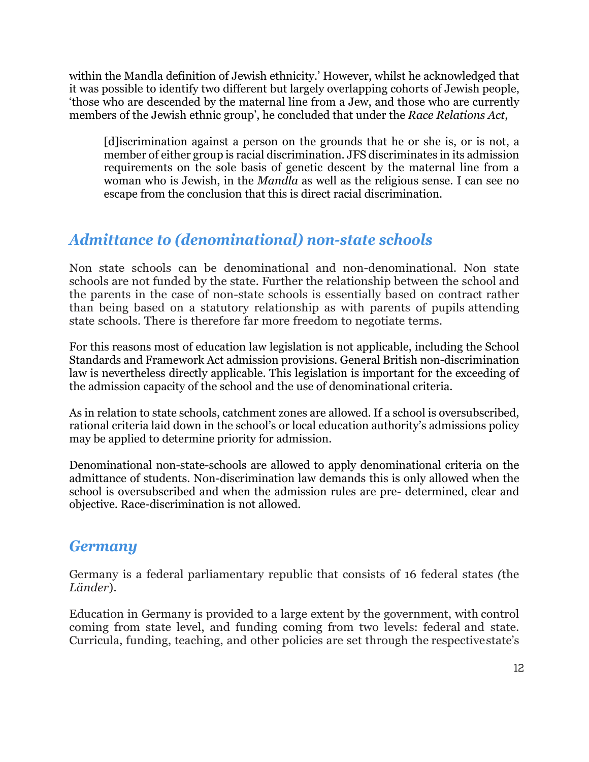within the Mandla definition of Jewish ethnicity.' However, whilst he acknowledged that it was possible to identify two different but largely overlapping cohorts of Jewish people, 'those who are descended by the maternal line from a Jew, and those who are currently members of the Jewish ethnic group', he concluded that under the *Race Relations Act*,

[d]iscrimination against a person on the grounds that he or she is, or is not, a member of either group is racial discrimination. JFS discriminates in its admission requirements on the sole basis of genetic descent by the maternal line from a woman who is Jewish, in the *Mandla* as well as the religious sense. I can see no escape from the conclusion that this is direct racial discrimination.

## *Admittance to (denominational) non-state schools*

Non state schools can be denominational and non-denominational. Non state schools are not funded by the state. Further the relationship between the school and the parents in the case of non-state schools is essentially based on contract rather than being based on a statutory relationship as with parents of pupils attending state schools. There is therefore far more freedom to negotiate terms.

For this reasons most of education law legislation is not applicable, including the School Standards and Framework Act admission provisions. General British non-discrimination law is nevertheless directly applicable. This legislation is important for the exceeding of the admission capacity of the school and the use of denominational criteria.

As in relation to state schools, catchment zones are allowed. If a school is oversubscribed, rational criteria laid down in the school's or local education authority's admissions policy may be applied to determine priority for admission.

Denominational non-state-schools are allowed to apply denominational criteria on the admittance of students. Non-discrimination law demands this is only allowed when the school is oversubscribed and when the admission rules are pre- determined, clear and objective. Race-discrimination is not allowed.

#### *Germany*

Germany is a federal parliamentary republic that consists of 16 federal states *(*the *Länder*).

Education in Germany is provided to a large extent by the government, with control coming from state level, and funding coming from two levels: federal and state. Curricula, funding, teaching, and other policies are set through the respectivestate's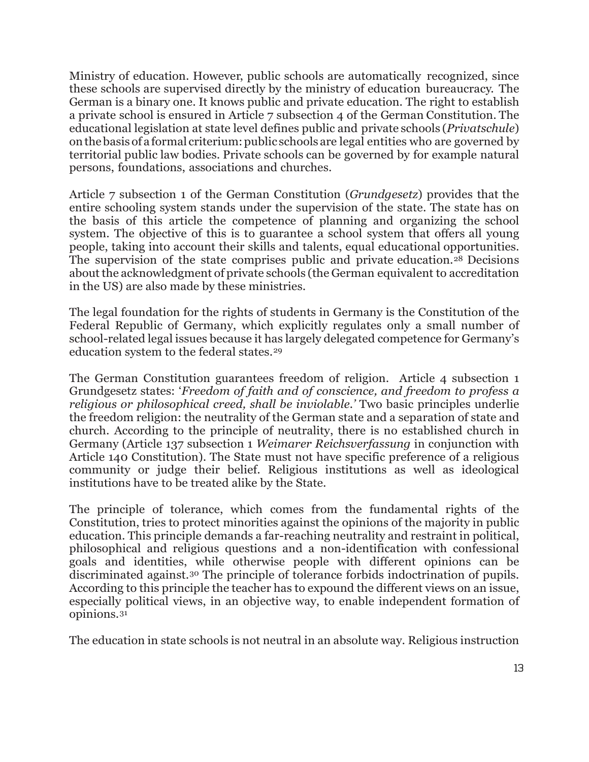Ministry of education. However, public schools are automatically recognized, since these schools are supervised directly by the ministry of education bureaucracy. The German is a binary one. It knows public and private education. The right to establish a private school is ensured in Article 7 subsection 4 of the German Constitution. The educational legislation at state level defines public and private schools (*Privatschule*) onthebasisof a formal criterium:public schools are legal entities who are governed by territorial public law bodies. Private schools can be governed by for example natural persons, foundations, associations and churches.

Article 7 subsection 1 of the German Constitution (*Grundgesetz*) provides that the entire schooling system stands under the supervision of the state. The state has on the basis of this article the competence of planning and organizing the school system. The objective of this is to guarantee a school system that offers all young people, taking into account their skills and talents, equal educational opportunities. The supervision of the state comprises public and private education.[28](#page-30-12) Decisions about the acknowledgment of private schools (the German equivalent to accreditation in the US) are also made by these ministries.

The legal foundation for the rights of students in Germany is the Constitution of the Federal Republic of Germany, which explicitly regulates only a small number of school-related legal issues because it has largely delegated competence for Germany's education system to the federal states.[29](#page-30-13)

The German Constitution guarantees freedom of religion. Article 4 subsection 1 Grundgesetz states: '*Freedom of faith and of conscience, and freedom to profess a religious or philosophical creed, shall be inviolable.'* Two basic principles underlie the freedom religion: the neutrality of the German state and a separation of state and church. According to the principle of neutrality, there is no established church in Germany (Article 137 subsection 1 *Weimarer Reichsverfassung* in conjunction with Article 140 Constitution). The State must not have specific preference of a religious community or judge their belief. Religious institutions as well as ideological institutions have to be treated alike by the State.

The principle of tolerance, which comes from the fundamental rights of the Constitution, tries to protect minorities against the opinions of the majority in public education. This principle demands a far-reaching neutrality and restraint in political, philosophical and religious questions and a non-identification with confessional goals and identities, while otherwise people with different opinions can be discriminated against.[30](#page-30-14) The principle of tolerance forbids indoctrination of pupils. According to this principle the teacher has to expound the different views on an issue, especially political views, in an objective way, to enable independent formation of opinions.[31](#page-30-15)

The education in state schools is not neutral in an absolute way. Religious instruction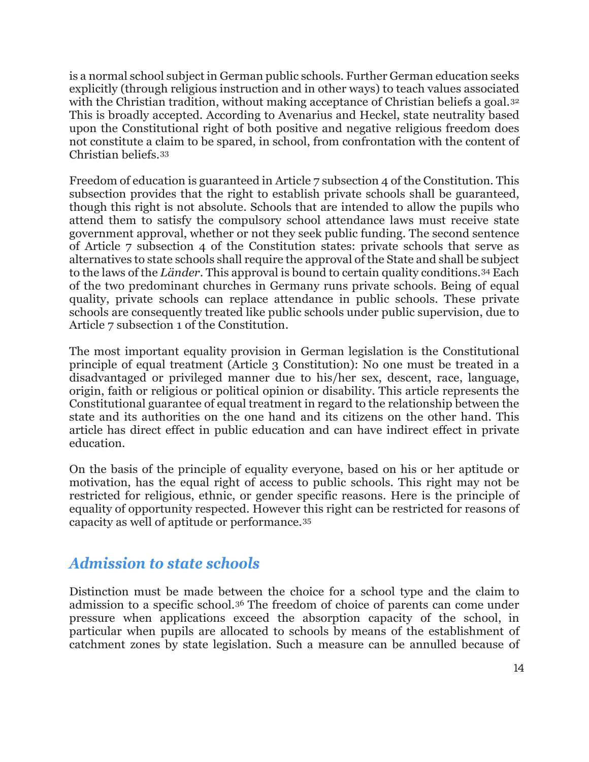is a normal school subject in German public schools. Further German education seeks explicitly (through religious instruction and in other ways) to teach values associated with the Christian tradition, without making acceptance of Christian beliefs a goal.<sup>[32](#page-31-0)</sup> This is broadly accepted. According to Avenarius and Heckel, state neutrality based upon the Constitutional right of both positive and negative religious freedom does not constitute a claim to be spared, in school, from confrontation with the content of Christian beliefs.[33](#page-31-1)

Freedom of education is guaranteed in Article 7 subsection 4 of the Constitution. This subsection provides that the right to establish private schools shall be guaranteed, though this right is not absolute. Schools that are intended to allow the pupils who attend them to satisfy the compulsory school attendance laws must receive state government approval, whether or not they seek public funding. The second sentence of Article 7 subsection 4 of the Constitution states: private schools that serve as alternatives to state schools shall require the approval of the State and shall be subject to the laws of the *Länder*. This approval is bound to certain quality conditions.[34](#page-31-2) Each of the two predominant churches in Germany runs private schools. Being of equal quality, private schools can replace attendance in public schools. These private schools are consequently treated like public schools under public supervision, due to Article 7 subsection 1 of the Constitution.

The most important equality provision in German legislation is the Constitutional principle of equal treatment (Article 3 Constitution): No one must be treated in a disadvantaged or privileged manner due to his/her sex, descent, race, language, origin, faith or religious or political opinion or disability. This article represents the Constitutional guarantee of equal treatment in regard to the relationship between the state and its authorities on the one hand and its citizens on the other hand. This article has direct effect in public education and can have indirect effect in private education.

On the basis of the principle of equality everyone, based on his or her aptitude or motivation, has the equal right of access to public schools. This right may not be restricted for religious, ethnic, or gender specific reasons. Here is the principle of equality of opportunity respected. However this right can be restricted for reasons of capacity as well of aptitude or performance.[35](#page-31-3)

#### *Admission to state schools*

Distinction must be made between the choice for a school type and the claim to admission to a specific school.[36](#page-31-4) The freedom of choice of parents can come under pressure when applications exceed the absorption capacity of the school, in particular when pupils are allocated to schools by means of the establishment of catchment zones by state legislation. Such a measure can be annulled because of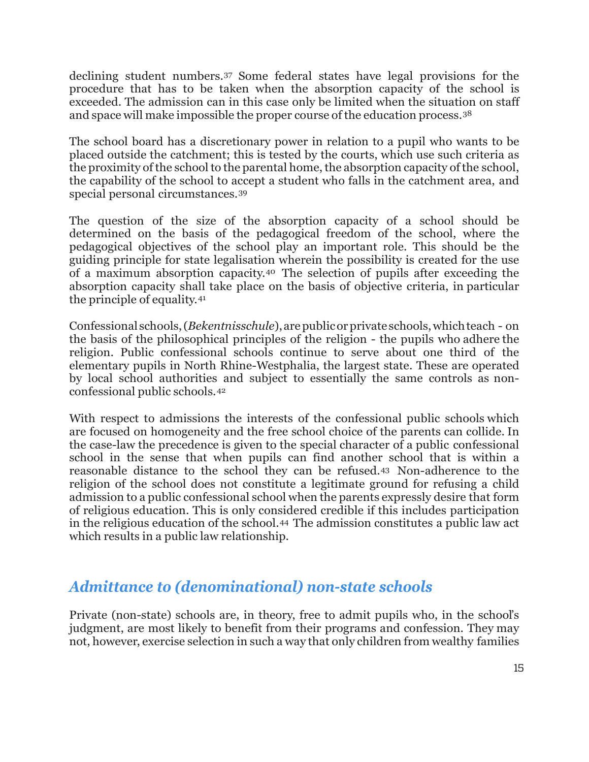declining student numbers.[37](#page-31-5) Some federal states have legal provisions for the procedure that has to be taken when the absorption capacity of the school is exceeded. The admission can in this case only be limited when the situation on staff and space will make impossible the proper course of the education process.[38](#page-31-6)

The school board has a discretionary power in relation to a pupil who wants to be placed outside the catchment; this is tested by the courts, which use such criteria as the proximity of the school to the parental home, the absorption capacity of the school, the capability of the school to accept a student who falls in the catchment area, and special personal circumstances.[39](#page-31-7)

The question of the size of the absorption capacity of a school should be determined on the basis of the pedagogical freedom of the school, where the pedagogical objectives of the school play an important role. This should be the guiding principle for state legalisation wherein the possibility is created for the use of a maximum absorption capacity.[40](#page-31-8) The selection of pupils after exceeding the absorption capacity shall take place on the basis of objective criteria, in particular the principle of equality.[41](#page-31-9)

Confessional schools,(*Bekentnisschule*),arepublicorprivateschools,whichteach - on the basis of the philosophical principles of the religion - the pupils who adhere the religion. Public confessional schools continue to serve about one third of the elementary pupils in North Rhine-Westphalia, the largest state. These are operated by local school authorities and subject to essentially the same controls as nonconfessional public schools.[42](#page-31-10)

With respect to admissions the interests of the confessional public schools which are focused on homogeneity and the free school choice of the parents can collide. In the case-law the precedence is given to the special character of a public confessional school in the sense that when pupils can find another school that is within a reasonable distance to the school they can be refused.[43](#page-31-11) Non-adherence to the religion of the school does not constitute a legitimate ground for refusing a child admission to a public confessional school when the parents expressly desire that form of religious education. This is only considered credible if this includes participation in the religious education of the school.[44](#page-31-12) The admission constitutes a public law act which results in a public law relationship.

#### *Admittance to (denominational) non-state schools*

Private (non-state) schools are, in theory, free to admit pupils who, in the school's judgment, are most likely to benefit from their programs and confession. They may not, however, exercise selection in such a way that only children from wealthy families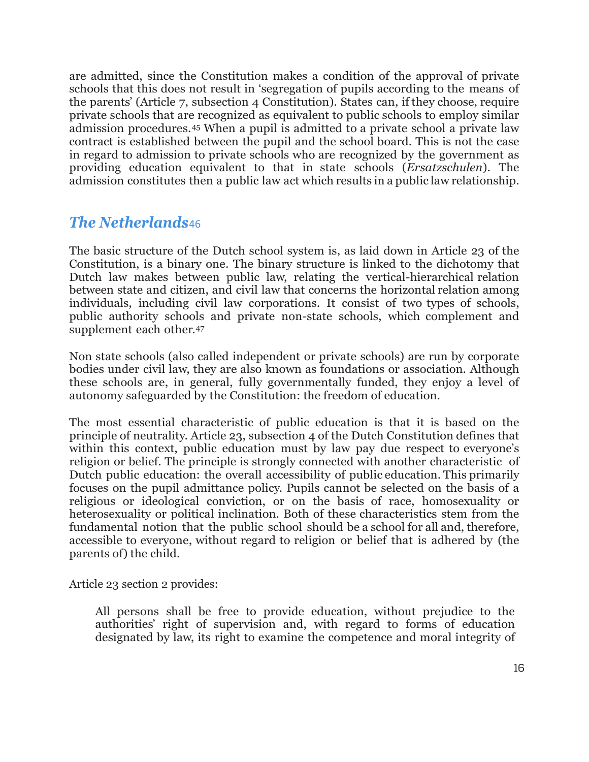are admitted, since the Constitution makes a condition of the approval of private schools that this does not result in 'segregation of pupils according to the means of the parents' (Article 7, subsection 4 Constitution). States can, if they choose, require private schools that are recognized as equivalent to public schools to employ similar admission procedures.[45](#page-31-13) When a pupil is admitted to a private school a private law contract is established between the pupil and the school board. This is not the case in regard to admission to private schools who are recognized by the government as providing education equivalent to that in state schools (*Ersatzschulen*). The admission constitutes then a public law act which results in a public law relationship.

#### *The Netherlands*[46](#page-31-14)

The basic structure of the Dutch school system is, as laid down in Article 23 of the Constitution, is a binary one. The binary structure is linked to the dichotomy that Dutch law makes between public law, relating the vertical-hierarchical relation between state and citizen, and civil law that concerns the horizontal relation among individuals, including civil law corporations. It consist of two types of schools, public authority schools and private non-state schools, which complement and supplement each other.<sup>[47](#page-31-15)</sup>

Non state schools (also called independent or private schools) are run by corporate bodies under civil law, they are also known as foundations or association. Although these schools are, in general, fully governmentally funded, they enjoy a level of autonomy safeguarded by the Constitution: the freedom of education.

The most essential characteristic of public education is that it is based on the principle of neutrality. Article 23, subsection 4 of the Dutch Constitution defines that within this context, public education must by law pay due respect to everyone's religion or belief. The principle is strongly connected with another characteristic of Dutch public education: the overall accessibility of public education. This primarily focuses on the pupil admittance policy. Pupils cannot be selected on the basis of a religious or ideological conviction, or on the basis of race, homosexuality or heterosexuality or political inclination. Both of these characteristics stem from the fundamental notion that the public school should be a school for all and, therefore, accessible to everyone, without regard to religion or belief that is adhered by (the parents of) the child.

Article 23 section 2 provides:

All persons shall be free to provide education, without prejudice to the authorities' right of supervision and, with regard to forms of education designated by law, its right to examine the competence and moral integrity of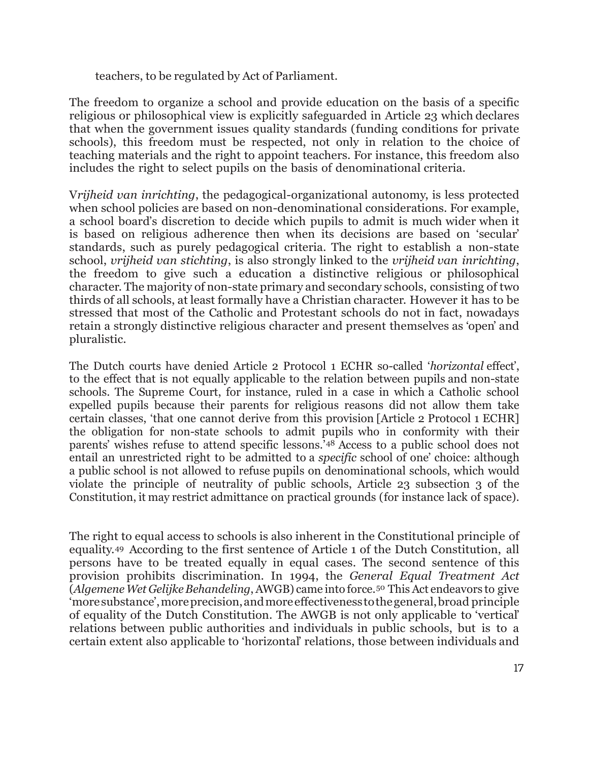teachers, to be regulated by Act of Parliament.

The freedom to organize a school and provide education on the basis of a specific religious or philosophical view is explicitly safeguarded in Article 23 which declares that when the government issues quality standards (funding conditions for private schools), this freedom must be respected, not only in relation to the choice of teaching materials and the right to appoint teachers. For instance, this freedom also includes the right to select pupils on the basis of denominational criteria.

V*rijheid van inrichting*, the pedagogical-organizational autonomy, is less protected when school policies are based on non-denominational considerations. For example, a school board's discretion to decide which pupils to admit is much wider when it is based on religious adherence then when its decisions are based on 'secular' standards, such as purely pedagogical criteria. The right to establish a non-state school, *vrijheid van stichting*, is also strongly linked to the *vrijheid van inrichting*, the freedom to give such a education a distinctive religious or philosophical character. The majority of non-state primary and secondary schools, consisting of two thirds of all schools, at least formally have a Christian character. However it has to be stressed that most of the Catholic and Protestant schools do not in fact, nowadays retain a strongly distinctive religious character and present themselves as 'open' and pluralistic.

The Dutch courts have denied Article 2 Protocol 1 ECHR so-called '*horizontal* effect', to the effect that is not equally applicable to the relation between pupils and non-state schools. The Supreme Court, for instance, ruled in a case in which a Catholic school expelled pupils because their parents for religious reasons did not allow them take certain classes, 'that one cannot derive from this provision [Article 2 Protocol 1 ECHR] the obligation for non-state schools to admit pupils who in conformity with their parents' wishes refuse to attend specific lessons.'[48](#page-31-16) Access to a public school does not entail an unrestricted right to be admitted to a *specific* school of one' choice: although a public school is not allowed to refuse pupils on denominational schools, which would violate the principle of neutrality of public schools, Article 23 subsection 3 of the Constitution, it may restrict admittance on practical grounds (for instance lack of space).

The right to equal access to schools is also inherent in the Constitutional principle of equality.[49](#page-32-0) According to the first sentence of Article 1 of the Dutch Constitution, all persons have to be treated equally in equal cases. The second sentence of this provision prohibits discrimination. In 1994, the *General Equal Treatment Act* (*AlgemeneWet GelijkeBehandeling*,AWGB) came into force.[50](#page-32-1) This Act endeavors to give 'moresubstance',moreprecision,andmoreeffectivenesstothegeneral,broad principle of equality of the Dutch Constitution. The AWGB is not only applicable to 'vertical' relations between public authorities and individuals in public schools, but is to a certain extent also applicable to 'horizontal' relations, those between individuals and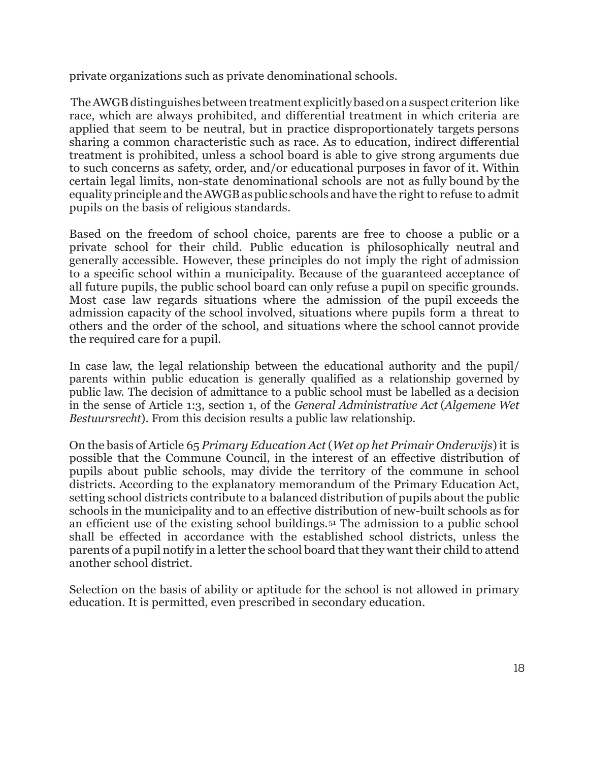private organizations such as private denominational schools.

The AWGB distinguishes between treatment explicitly based on a suspect criterion like race, which are always prohibited, and differential treatment in which criteria are applied that seem to be neutral, but in practice disproportionately targets persons sharing a common characteristic such as race. As to education, indirect differential treatment is prohibited, unless a school board is able to give strong arguments due to such concerns as safety, order, and/or educational purposes in favor of it. Within certain legal limits, non-state denominational schools are not as fully bound by the equality principle and the AWGB as public schools and have the right to refuse to admit pupils on the basis of religious standards.

Based on the freedom of school choice, parents are free to choose a public or a private school for their child. Public education is philosophically neutral and generally accessible. However, these principles do not imply the right of admission to a specific school within a municipality. Because of the guaranteed acceptance of all future pupils, the public school board can only refuse a pupil on specific grounds. Most case law regards situations where the admission of the pupil exceeds the admission capacity of the school involved, situations where pupils form a threat to others and the order of the school, and situations where the school cannot provide the required care for a pupil.

In case law, the legal relationship between the educational authority and the pupil/ parents within public education is generally qualified as a relationship governed by public law. The decision of admittance to a public school must be labelled as a decision in the sense of Article 1:3, section 1, of the *General Administrative Act* (*Algemene Wet Bestuursrecht*). From this decision results a public law relationship.

On the basis of Article 65 *Primary Education Act*(*Wet op het Primair Onderwijs*)it is possible that the Commune Council, in the interest of an effective distribution of pupils about public schools, may divide the territory of the commune in school districts. According to the explanatory memorandum of the Primary Education Act, setting school districts contribute to a balanced distribution of pupils about the public schools in the municipality and to an effective distribution of new-built schools as for an efficient use of the existing school buildings.[51](#page-32-2) The admission to a public school shall be effected in accordance with the established school districts, unless the parents of a pupil notify in a letter the school board that they want their child to attend another school district.

Selection on the basis of ability or aptitude for the school is not allowed in primary education. It is permitted, even prescribed in secondary education.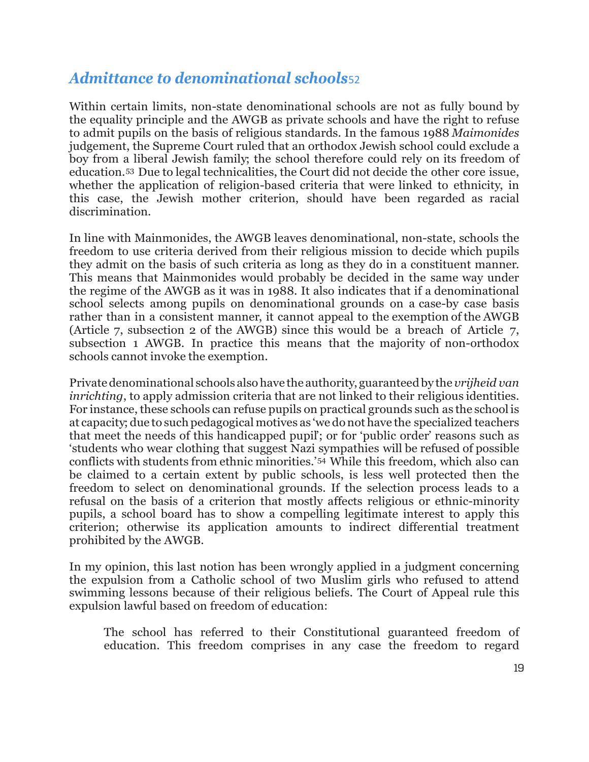### *Admittance to denominational schools*[52](#page-32-3)

Within certain limits, non-state denominational schools are not as fully bound by the equality principle and the AWGB as private schools and have the right to refuse to admit pupils on the basis of religious standards. In the famous 1988 *Maimonides* judgement, the Supreme Court ruled that an orthodox Jewish school could exclude a boy from a liberal Jewish family; the school therefore could rely on its freedom of education.[53](#page-32-4) Due to legal technicalities, the Court did not decide the other core issue, whether the application of religion-based criteria that were linked to ethnicity, in this case, the Jewish mother criterion, should have been regarded as racial discrimination.

In line with Mainmonides, the AWGB leaves denominational, non-state, schools the freedom to use criteria derived from their religious mission to decide which pupils they admit on the basis of such criteria as long as they do in a constituent manner. This means that Mainmonides would probably be decided in the same way under the regime of the AWGB as it was in 1988. It also indicates that if a denominational school selects among pupils on denominational grounds on a case-by case basis rather than in a consistent manner, it cannot appeal to the exemption of the AWGB (Article 7, subsection 2 of the AWGB) since this would be a breach of Article 7, subsection 1 AWGB. In practice this means that the majority of non-orthodox schools cannot invoke the exemption.

Privatedenominational schools alsohave the authority, guaranteedby the *vrijheid van inrichting*, to apply admission criteria that are not linked to their religious identities. For instance, these schools can refuse pupils on practical grounds such as the school is at capacity; due to suchpedagogical motives as 'we donot have the specialized teachers that meet the needs of this handicapped pupil'; or for 'public order' reasons such as 'students who wear clothing that suggest Nazi sympathies will be refused of possible conflicts with students from ethnic minorities.'[54](#page-32-5) While this freedom, which also can be claimed to a certain extent by public schools, is less well protected then the freedom to select on denominational grounds. If the selection process leads to a refusal on the basis of a criterion that mostly affects religious or ethnic-minority pupils, a school board has to show a compelling legitimate interest to apply this criterion; otherwise its application amounts to indirect differential treatment prohibited by the AWGB.

In my opinion, this last notion has been wrongly applied in a judgment concerning the expulsion from a Catholic school of two Muslim girls who refused to attend swimming lessons because of their religious beliefs. The Court of Appeal rule this expulsion lawful based on freedom of education:

The school has referred to their Constitutional guaranteed freedom of education. This freedom comprises in any case the freedom to regard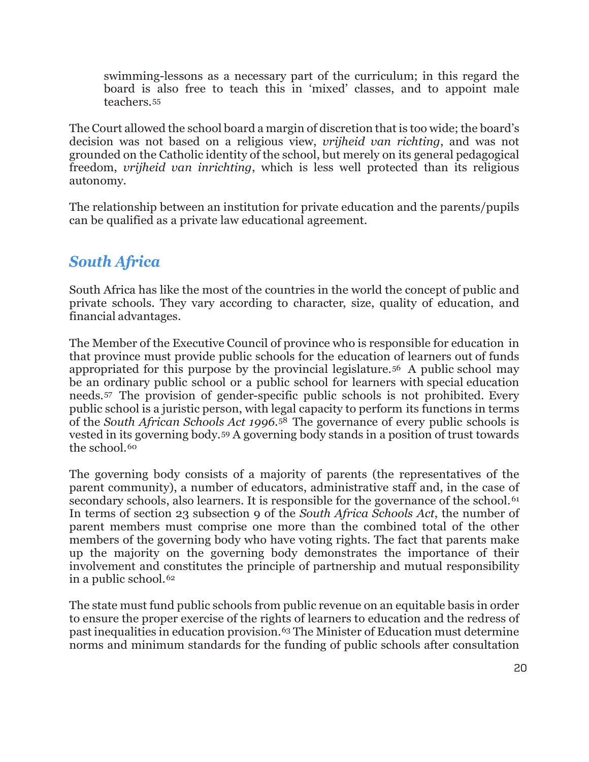swimming-lessons as a necessary part of the curriculum; in this regard the board is also free to teach this in 'mixed' classes, and to appoint male teachers.[55](#page-32-6)

The Court allowed the school board a margin of discretion that is too wide; the board's decision was not based on a religious view, *vrijheid van richting*, and was not grounded on the Catholic identity of the school, but merely on its general pedagogical freedom, *vrijheid van inrichting*, which is less well protected than its religious autonomy.

The relationship between an institution for private education and the parents/pupils can be qualified as a private law educational agreement.

## *South Africa*

South Africa has like the most of the countries in the world the concept of public and private schools. They vary according to character, size, quality of education, and financial advantages.

The Member of the Executive Council of province who is responsible for education in that province must provide public schools for the education of learners out of funds appropriated for this purpose by the provincial legislature.[56](#page-32-7) A public school may be an ordinary public school or a public school for learners with special education needs.[57](#page-32-8) The provision of gender-specific public schools is not prohibited. Every public school is a juristic person, with legal capacity to perform its functions in terms of the *South African Schools Act 1996*.[58](#page-32-9) The governance of every public schools is vested in its governing body.[59](#page-32-10) A governing body stands in a position of trust towards the school.<sup>[60](#page-32-11)</sup>

The governing body consists of a majority of parents (the representatives of the parent community), a number of educators, administrative staff and, in the case of secondary schools, also learners. It is responsible for the governance of the school.<sup>[61](#page-32-12)</sup> In terms of section 23 subsection 9 of the *South Africa Schools Act*, the number of parent members must comprise one more than the combined total of the other members of the governing body who have voting rights. The fact that parents make up the majority on the governing body demonstrates the importance of their involvement and constitutes the principle of partnership and mutual responsibility in a public school.<sup>[62](#page-32-13)</sup>

The state must fund public schools from public revenue on an equitable basis in order to ensure the proper exercise of the rights of learners to education and the redress of past inequalities in education provision.[63](#page-32-14) The Minister of Education must determine norms and minimum standards for the funding of public schools after consultation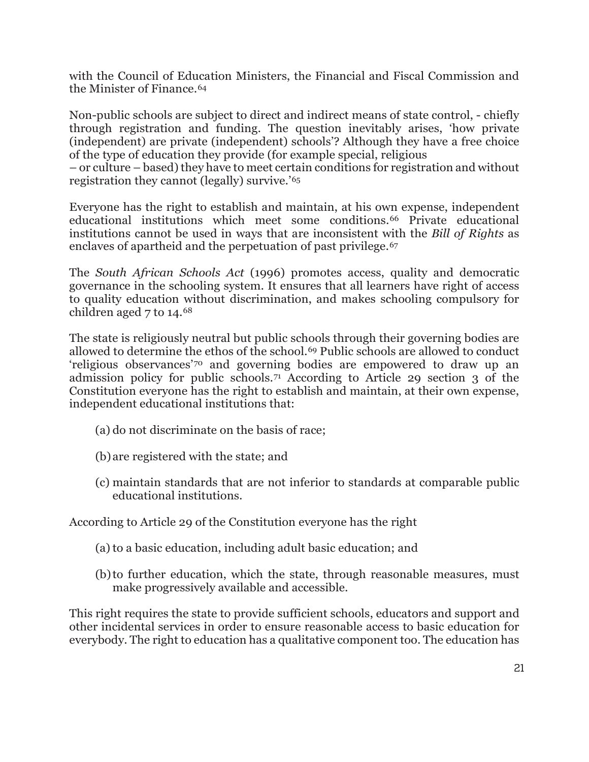with the Council of Education Ministers, the Financial and Fiscal Commission and the Minister of Finance.[64](#page-32-15)

Non-public schools are subject to direct and indirect means of state control, - chiefly through registration and funding. The question inevitably arises, 'how private (independent) are private (independent) schools'? Although they have a free choice of the type of education they provide (for example special, religious

– or culture – based) they have to meet certain conditions for registration and without registration they cannot (legally) survive.'[65](#page-32-16)

Everyone has the right to establish and maintain, at his own expense, independent educational institutions which meet some conditions.[66](#page-32-17) Private educational institutions cannot be used in ways that are inconsistent with the *Bill of Rights* as enclaves of apartheid and the perpetuation of past privilege.<sup>[67](#page-32-18)</sup>

The *South African Schools Act* (1996) promotes access, quality and democratic governance in the schooling system. It ensures that all learners have right of access to quality education without discrimination, and makes schooling compulsory for children aged 7 to 14.[68](#page-32-19)

The state is religiously neutral but public schools through their governing bodies are allowed to determine the ethos of the school.[69](#page-33-0) Public schools are allowed to conduct 'religious observances'[70](#page-33-1) and governing bodies are empowered to draw up an admission policy for public schools.[71](#page-33-2) According to Article 29 section 3 of the Constitution everyone has the right to establish and maintain, at their own expense, independent educational institutions that:

- (a) do not discriminate on the basis of race;
- (b)are registered with the state; and
- (c) maintain standards that are not inferior to standards at comparable public educational institutions.

According to Article 29 of the Constitution everyone has the right

- (a)to a basic education, including adult basic education; and
- (b)to further education, which the state, through reasonable measures, must make progressively available and accessible.

This right requires the state to provide sufficient schools, educators and support and other incidental services in order to ensure reasonable access to basic education for everybody. The right to education has a qualitative component too. The education has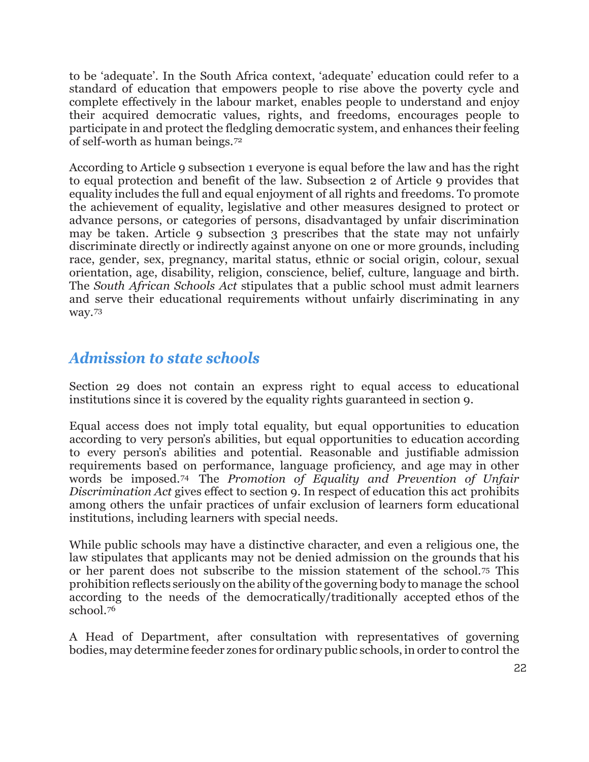to be 'adequate'. In the South Africa context, 'adequate' education could refer to a standard of education that empowers people to rise above the poverty cycle and complete effectively in the labour market, enables people to understand and enjoy their acquired democratic values, rights, and freedoms, encourages people to participate in and protect the fledgling democratic system, and enhances their feeling of self-worth as human beings.[72](#page-33-3)

According to Article 9 subsection 1 everyone is equal before the law and has the right to equal protection and benefit of the law. Subsection 2 of Article 9 provides that equality includes the full and equal enjoyment of all rights and freedoms. To promote the achievement of equality, legislative and other measures designed to protect or advance persons, or categories of persons, disadvantaged by unfair discrimination may be taken. Article 9 subsection 3 prescribes that the state may not unfairly discriminate directly or indirectly against anyone on one or more grounds, including race, gender, sex, pregnancy, marital status, ethnic or social origin, colour, sexual orientation, age, disability, religion, conscience, belief, culture, language and birth. The *South African Schools Act* stipulates that a public school must admit learners and serve their educational requirements without unfairly discriminating in any way.[73](#page-33-4)

# *Admission to state schools*

Section 29 does not contain an express right to equal access to educational institutions since it is covered by the equality rights guaranteed in section 9.

Equal access does not imply total equality, but equal opportunities to education according to very person's abilities, but equal opportunities to education according to every person's abilities and potential. Reasonable and justifiable admission requirements based on performance, language proficiency, and age may in other words be imposed.[74](#page-33-5) The *Promotion of Equality and Prevention of Unfair Discrimination Act* gives effect to section 9. In respect of education this act prohibits among others the unfair practices of unfair exclusion of learners form educational institutions, including learners with special needs.

While public schools may have a distinctive character, and even a religious one, the law stipulates that applicants may not be denied admission on the grounds that his or her parent does not subscribe to the mission statement of the school.[75](#page-33-6) This prohibition reflects seriously on the ability ofthe governing body to manage the school according to the needs of the democratically/traditionally accepted ethos of the school[.76](#page-33-7)

A Head of Department, after consultation with representatives of governing bodies, may determine feeder zones for ordinary public schools, in order to control the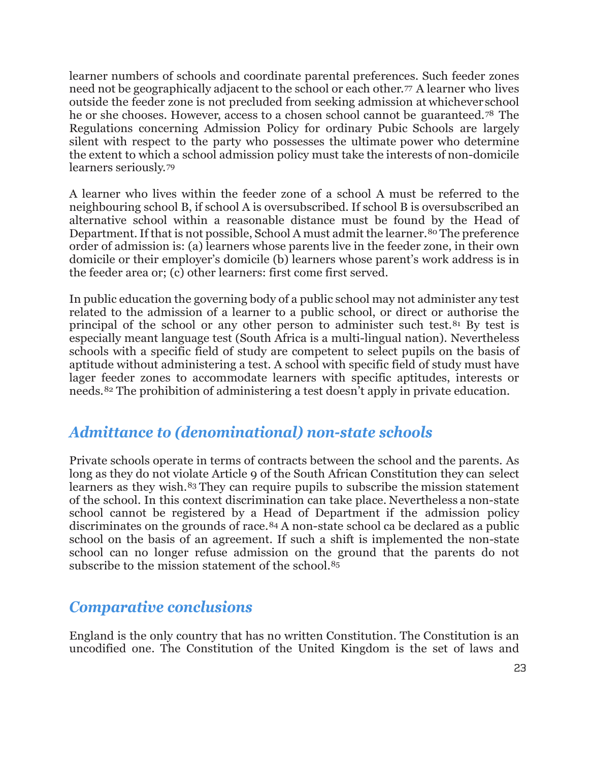learner numbers of schools and coordinate parental preferences. Such feeder zones need not be geographically adjacent to the school or each other.[77](#page-33-8) A learner who lives outside the feeder zone is not precluded from seeking admission at whichever school he or she chooses. However, access to a chosen school cannot be guaranteed.[78](#page-33-9) The Regulations concerning Admission Policy for ordinary Pubic Schools are largely silent with respect to the party who possesses the ultimate power who determine the extent to which a school admission policy must take the interests of non-domicile learners seriously.[79](#page-33-10)

A learner who lives within the feeder zone of a school A must be referred to the neighbouring school B, if school A is oversubscribed. If school B is oversubscribed an alternative school within a reasonable distance must be found by the Head of Department. If that is not possible, School A must admit the learner.<sup>[80](#page-33-11)</sup> The preference order of admission is: (a) learners whose parents live in the feeder zone, in their own domicile or their employer's domicile (b) learners whose parent's work address is in the feeder area or; (c) other learners: first come first served.

In public education the governing body of a public school may not administer any test related to the admission of a learner to a public school, or direct or authorise the principal of the school or any other person to administer such test.<sup>[81](#page-33-12)</sup> By test is especially meant language test (South Africa is a multi-lingual nation). Nevertheless schools with a specific field of study are competent to select pupils on the basis of aptitude without administering a test. A school with specific field of study must have lager feeder zones to accommodate learners with specific aptitudes, interests or needs.[82](#page-33-13) The prohibition of administering a test doesn't apply in private education.

## *Admittance to (denominational) non-state schools*

Private schools operate in terms of contracts between the school and the parents. As long as they do not violate Article 9 of the South African Constitution they can select learners as they wish.<sup>[83](#page-33-14)</sup> They can require pupils to subscribe the mission statement of the school. In this context discrimination can take place. Nevertheless a non-state school cannot be registered by a Head of Department if the admission policy discriminates on the grounds of race.[84](#page-33-15) A non-state school ca be declared as a public school on the basis of an agreement. If such a shift is implemented the non-state school can no longer refuse admission on the ground that the parents do not subscribe to the mission statement of the school.<sup>[85](#page-33-16)</sup>

#### *Comparative conclusions*

England is the only country that has no written Constitution. The Constitution is an uncodified one. The Constitution of the United Kingdom is the set of laws and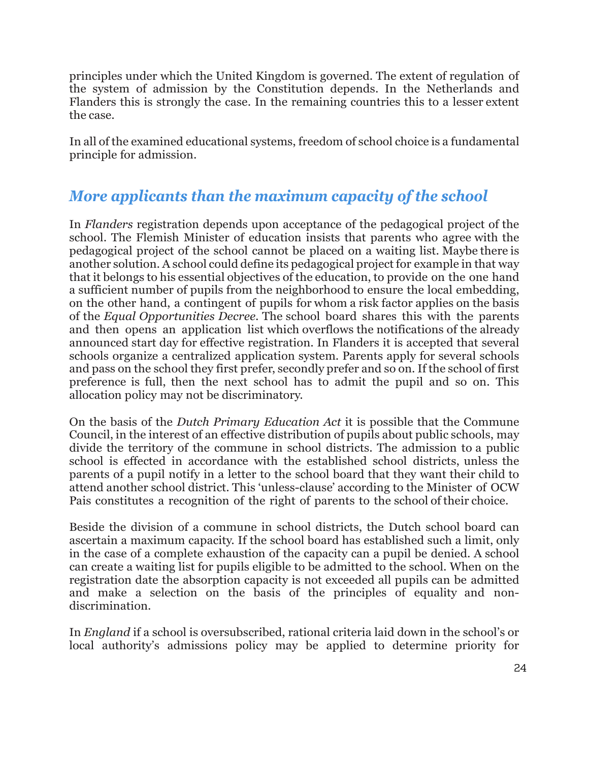principles under which the United Kingdom is governed. The extent of regulation of the system of admission by the Constitution depends. In the Netherlands and Flanders this is strongly the case. In the remaining countries this to a lesser extent the case.

In all of the examined educational systems, freedom of school choice is a fundamental principle for admission.

# *More applicants than the maximum capacity of the school*

In *Flanders* registration depends upon acceptance of the pedagogical project of the school. The Flemish Minister of education insists that parents who agree with the pedagogical project of the school cannot be placed on a waiting list. Maybe there is another solution. A school could define its pedagogical project for example in that way that it belongs to his essential objectives of the education, to provide on the one hand a sufficient number of pupils from the neighborhood to ensure the local embedding, on the other hand, a contingent of pupils for whom a risk factor applies on the basis of the *Equal Opportunities Decree*. The school board shares this with the parents and then opens an application list which overflows the notifications of the already announced start day for effective registration. In Flanders it is accepted that several schools organize a centralized application system. Parents apply for several schools and pass on the school they first prefer, secondly prefer and so on. If the school of first preference is full, then the next school has to admit the pupil and so on. This allocation policy may not be discriminatory.

On the basis of the *Dutch Primary Education Act* it is possible that the Commune Council, in the interest of an effective distribution of pupils about public schools, may divide the territory of the commune in school districts. The admission to a public school is effected in accordance with the established school districts, unless the parents of a pupil notify in a letter to the school board that they want their child to attend another school district. This 'unless-clause' according to the Minister of OCW Pais constitutes a recognition of the right of parents to the school of their choice.

Beside the division of a commune in school districts, the Dutch school board can ascertain a maximum capacity. If the school board has established such a limit, only in the case of a complete exhaustion of the capacity can a pupil be denied. A school can create a waiting list for pupils eligible to be admitted to the school. When on the registration date the absorption capacity is not exceeded all pupils can be admitted and make a selection on the basis of the principles of equality and nondiscrimination.

In *England* if a school is oversubscribed, rational criteria laid down in the school's or local authority's admissions policy may be applied to determine priority for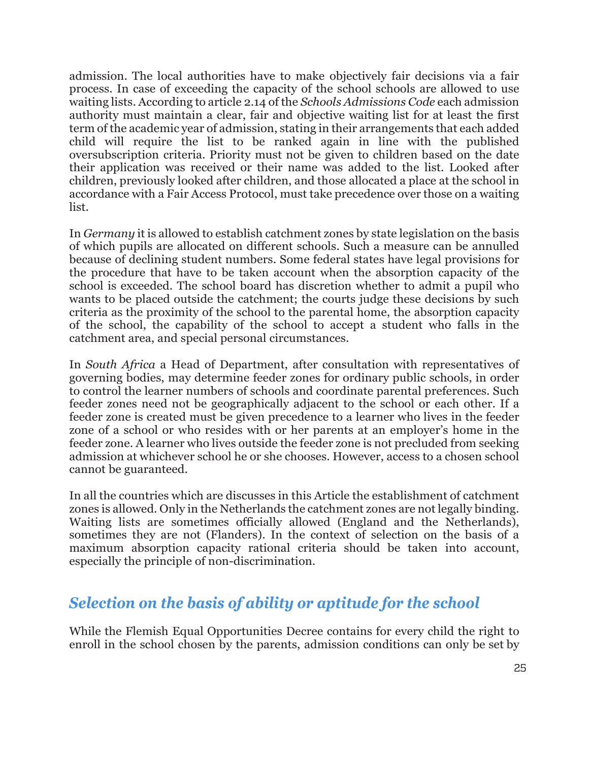admission. The local authorities have to make objectively fair decisions via a fair process. In case of exceeding the capacity of the school schools are allowed to use waiting lists. According to article 2.14 of the *Schools Admissions Code* each admission authority must maintain a clear, fair and objective waiting list for at least the first term of the academic year of admission, stating in their arrangements that each added child will require the list to be ranked again in line with the published oversubscription criteria. Priority must not be given to children based on the date their application was received or their name was added to the list. Looked after children, previously looked after children, and those allocated a place at the school in accordance with a Fair Access Protocol, must take precedence over those on a waiting list.

In *Germany* it is allowed to establish catchment zones by state legislation on the basis of which pupils are allocated on different schools. Such a measure can be annulled because of declining student numbers. Some federal states have legal provisions for the procedure that have to be taken account when the absorption capacity of the school is exceeded. The school board has discretion whether to admit a pupil who wants to be placed outside the catchment; the courts judge these decisions by such criteria as the proximity of the school to the parental home, the absorption capacity of the school, the capability of the school to accept a student who falls in the catchment area, and special personal circumstances.

In *South Africa* a Head of Department, after consultation with representatives of governing bodies, may determine feeder zones for ordinary public schools, in order to control the learner numbers of schools and coordinate parental preferences. Such feeder zones need not be geographically adjacent to the school or each other. If a feeder zone is created must be given precedence to a learner who lives in the feeder zone of a school or who resides with or her parents at an employer's home in the feeder zone. A learner who lives outside the feeder zone is not precluded from seeking admission at whichever school he or she chooses. However, access to a chosen school cannot be guaranteed.

In all the countries which are discusses in this Article the establishment of catchment zones is allowed. Only in the Netherlands the catchment zones are not legally binding. Waiting lists are sometimes officially allowed (England and the Netherlands), sometimes they are not (Flanders). In the context of selection on the basis of a maximum absorption capacity rational criteria should be taken into account, especially the principle of non-discrimination.

## *Selection on the basis of ability or aptitude for the school*

While the Flemish Equal Opportunities Decree contains for every child the right to enroll in the school chosen by the parents, admission conditions can only be set by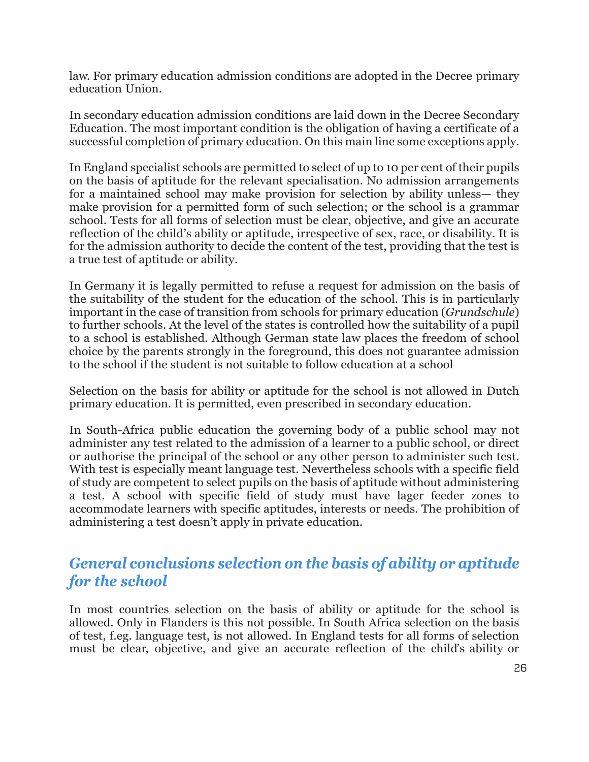law. For primary education admission conditions are adopted in the Decree primary education Union.

In secondary education admission conditions are laid down in the Decree Secondary Education. The most important condition is the obligation of having a certificate of a successful completion of primary education. On this main line some exceptions apply.

In England specialist schools are permitted to select of up to 10 per cent of their pupils on the basis of aptitude for the relevant specialisation. No admission arrangements for a maintained school may make provision for selection by ability unless— they make provision for a permitted form of such selection; or the school is a grammar school. Tests for all forms of selection must be clear, objective, and give an accurate reflection of the child's ability or aptitude, irrespective of sex, race, or disability. It is for the admission authority to decide the content of the test, providing that the test is a true test of aptitude or ability.

In Germany it is legally permitted to refuse a request for admission on the basis of the suitability of the student for the education of the school. This is in particularly important in the case of transition from schools for primary education (*Grundschule*) to further schools. At the level of the states is controlled how the suitability of a pupil to a school is established. Although German state law places the freedom of school choice by the parents strongly in the foreground, this does not guarantee admission to the school if the student is not suitable to follow education at a school

Selection on the basis for ability or aptitude for the school is not allowed in Dutch primary education. It is permitted, even prescribed in secondary education.

In South-Africa public education the governing body of a public school may not administer any test related to the admission of a learner to a public school, or direct or authorise the principal of the school or any other person to administer such test. With test is especially meant language test. Nevertheless schools with a specific field of study are competent to select pupils on the basis of aptitude without administering a test. A school with specific field of study must have lager feeder zones to accommodate learners with specific aptitudes, interests or needs. The prohibition of administering a test doesn't apply in private education.

### *General conclusions selection on the basis of ability or aptitude for the school*

In most countries selection on the basis of ability or aptitude for the school is allowed. Only in Flanders is this not possible. In South Africa selection on the basis of test, f.eg. language test, is not allowed. In England tests for all forms of selection must be clear, objective, and give an accurate reflection of the child's ability or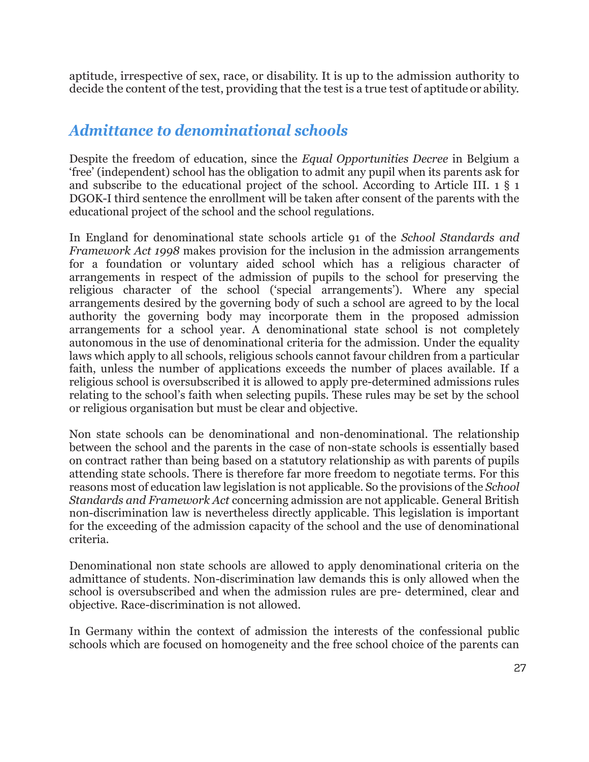aptitude, irrespective of sex, race, or disability. It is up to the admission authority to decide the content of the test, providing that the test is a true test of aptitude or ability.

### *Admittance to denominational schools*

Despite the freedom of education, since the *Equal Opportunities Decree* in Belgium a 'free' (independent) school has the obligation to admit any pupil when its parents ask for and subscribe to the educational project of the school. According to Article III. 1 § 1 DGOK-I third sentence the enrollment will be taken after consent of the parents with the educational project of the school and the school regulations.

In England for denominational state schools article 91 of the *School Standards and Framework Act 1998* makes provision for the inclusion in the admission arrangements for a foundation or voluntary aided school which has a religious character of arrangements in respect of the admission of pupils to the school for preserving the religious character of the school ('special arrangements'). Where any special arrangements desired by the governing body of such a school are agreed to by the local authority the governing body may incorporate them in the proposed admission arrangements for a school year. A denominational state school is not completely autonomous in the use of denominational criteria for the admission. Under the equality laws which apply to all schools, religious schools cannot favour children from a particular faith, unless the number of applications exceeds the number of places available. If a religious school is oversubscribed it is allowed to apply pre-determined admissions rules relating to the school's faith when selecting pupils. These rules may be set by the school or religious organisation but must be clear and objective.

Non state schools can be denominational and non-denominational. The relationship between the school and the parents in the case of non-state schools is essentially based on contract rather than being based on a statutory relationship as with parents of pupils attending state schools. There is therefore far more freedom to negotiate terms. For this reasons most of education law legislation is not applicable. So the provisions of the *School Standards and Framework Act* concerning admission are not applicable. General British non-discrimination law is nevertheless directly applicable. This legislation is important for the exceeding of the admission capacity of the school and the use of denominational criteria.

Denominational non state schools are allowed to apply denominational criteria on the admittance of students. Non-discrimination law demands this is only allowed when the school is oversubscribed and when the admission rules are pre- determined, clear and objective. Race-discrimination is not allowed.

In Germany within the context of admission the interests of the confessional public schools which are focused on homogeneity and the free school choice of the parents can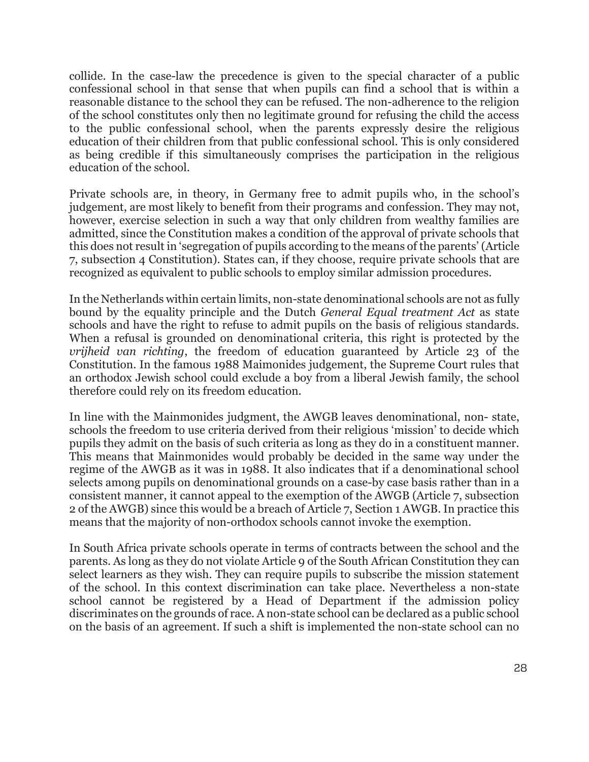collide. In the case-law the precedence is given to the special character of a public confessional school in that sense that when pupils can find a school that is within a reasonable distance to the school they can be refused. The non-adherence to the religion of the school constitutes only then no legitimate ground for refusing the child the access to the public confessional school, when the parents expressly desire the religious education of their children from that public confessional school. This is only considered as being credible if this simultaneously comprises the participation in the religious education of the school.

Private schools are, in theory, in Germany free to admit pupils who, in the school's judgement, are most likely to benefit from their programs and confession. They may not, however, exercise selection in such a way that only children from wealthy families are admitted, since the Constitution makes a condition of the approval of private schools that this does not result in 'segregation of pupils according to the means of the parents' (Article 7, subsection 4 Constitution). States can, if they choose, require private schools that are recognized as equivalent to public schools to employ similar admission procedures.

In the Netherlands within certain limits, non-state denominational schools are not as fully bound by the equality principle and the Dutch *General Equal treatment Act* as state schools and have the right to refuse to admit pupils on the basis of religious standards. When a refusal is grounded on denominational criteria, this right is protected by the *vrijheid van richting*, the freedom of education guaranteed by Article 23 of the Constitution. In the famous 1988 Maimonides judgement, the Supreme Court rules that an orthodox Jewish school could exclude a boy from a liberal Jewish family, the school therefore could rely on its freedom education.

In line with the Mainmonides judgment, the AWGB leaves denominational, non- state, schools the freedom to use criteria derived from their religious 'mission' to decide which pupils they admit on the basis of such criteria as long as they do in a constituent manner. This means that Mainmonides would probably be decided in the same way under the regime of the AWGB as it was in 1988. It also indicates that if a denominational school selects among pupils on denominational grounds on a case-by case basis rather than in a consistent manner, it cannot appeal to the exemption of the AWGB (Article 7, subsection 2 of the AWGB) since this would be a breach of Article 7, Section 1 AWGB. In practice this means that the majority of non-orthodox schools cannot invoke the exemption.

In South Africa private schools operate in terms of contracts between the school and the parents. As long as they do not violate Article 9 of the South African Constitution they can select learners as they wish. They can require pupils to subscribe the mission statement of the school. In this context discrimination can take place. Nevertheless a non-state school cannot be registered by a Head of Department if the admission policy discriminates on the grounds of race. A non-state school can be declared as a public school on the basis of an agreement. If such a shift is implemented the non-state school can no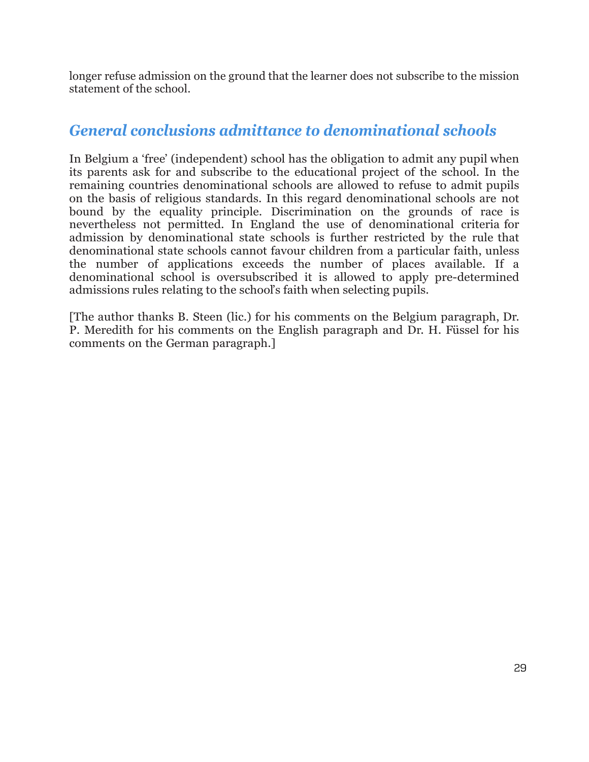longer refuse admission on the ground that the learner does not subscribe to the mission statement of the school.

#### *General conclusions admittance to denominational schools*

In Belgium a 'free' (independent) school has the obligation to admit any pupil when its parents ask for and subscribe to the educational project of the school. In the remaining countries denominational schools are allowed to refuse to admit pupils on the basis of religious standards. In this regard denominational schools are not bound by the equality principle. Discrimination on the grounds of race is nevertheless not permitted. In England the use of denominational criteria for admission by denominational state schools is further restricted by the rule that denominational state schools cannot favour children from a particular faith, unless the number of applications exceeds the number of places available. If a denominational school is oversubscribed it is allowed to apply pre-determined admissions rules relating to the school's faith when selecting pupils.

[The author thanks B. Steen (lic.) for his comments on the Belgium paragraph, Dr. P. Meredith for his comments on the English paragraph and Dr. H. Füssel for his comments on the German paragraph.]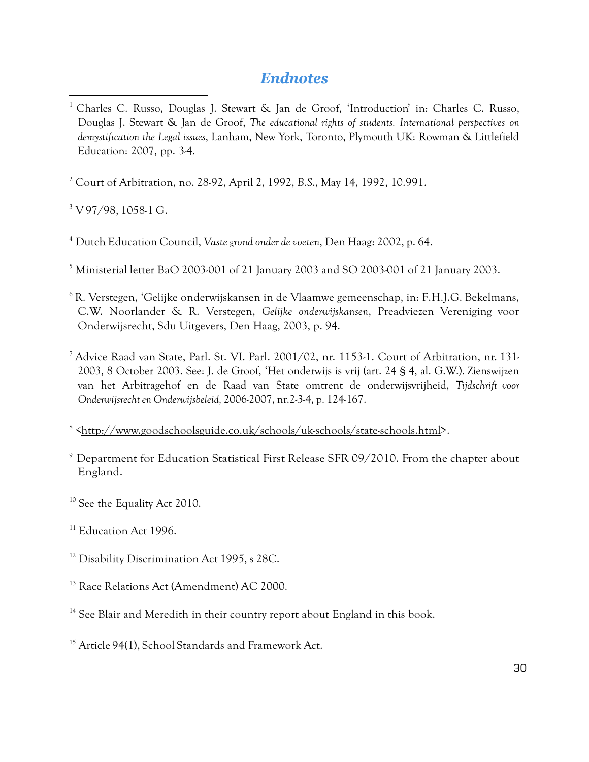#### *Endnotes*

<span id="page-29-0"></span><sup>1</sup> Charles C. Russo, Douglas J. Stewart & Jan de Groof, 'Introduction' in: Charles C. Russo, Douglas J. Stewart & Jan de Groof, *The educational rights of students. International perspectives on demystification the Legal issues*, Lanham, New York, Toronto, Plymouth UK: Rowman & Littlefield Education: 2007, pp. 3-4.

<span id="page-29-1"></span><sup>2</sup> Court of Arbitration, no. 28-92, April 2, 1992, *B.S*., May 14, 1992, 10.991.

<span id="page-29-2"></span><sup>3</sup> V 97/98, 1058-1 G.

 $\overline{a}$ 

<span id="page-29-3"></span><sup>4</sup> Dutch Education Council, *Vaste grond onder devoeten*, Den Haag: 2002, p. 64.

<span id="page-29-4"></span><sup>5</sup> Ministerial letter BaO 2003-001 of 21 January 2003 and SO 2003-001 of 21 January 2003.

- <span id="page-29-5"></span><sup>6</sup> R. Verstegen, 'Gelijke onderwijskansen in de Vlaamwe gemeenschap, in: F.H.J.G. Bekelmans, C.W. Noorlander & R. Verstegen, *Gelijke onderwijskansen*, Preadviezen Vereniging voor Onderwijsrecht, Sdu Uitgevers, Den Haag, 2003, p. 94.
- <span id="page-29-6"></span><sup>7</sup> Advice Raad van State, Parl. St. VI. Parl. 2001/02, nr. 1153-1. Court of Arbitration, nr. 131- 2003, 8 October 2003. See: J. de Groof, 'Het onderwijs is vrij (art. 24 § 4, al. G.W.). Zienswijzen van het Arbitragehof en de Raad van State omtrent de onderwijsvrijheid, *Tijdschrift voor Onderwijsrechten Onderwijsbeleid,* 2006-2007, nr.2-3-4, p. 124-167.

<span id="page-29-7"></span><sup>8</sup> [<http://www.goodschoolsguide.co.uk/schools/uk-schools/state-schools.html>](http://www.goodschoolsguide.co.uk/schools/uk-schools/state-schools.html).

- <span id="page-29-8"></span> $9$  Department for Education Statistical First Release SFR 09/2010. From the chapter about England.
- <span id="page-29-9"></span><sup>10</sup> See the Equality Act 2010.
- <span id="page-29-10"></span><sup>11</sup> Education Act 1996.
- <span id="page-29-11"></span><sup>12</sup> Disability Discrimination Act 1995, s 28C.
- <span id="page-29-12"></span><sup>13</sup> Race Relations Act (Amendment) AC 2000.
- <span id="page-29-13"></span><sup>14</sup> See Blair and Meredith in their country report about England in this book.
- <span id="page-29-14"></span><sup>15</sup> Article 94(1), School Standards and Framework Act.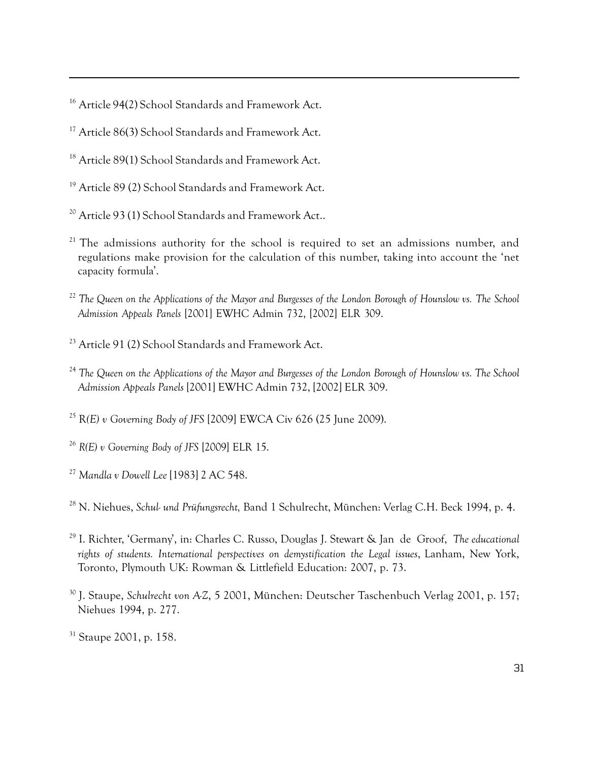<span id="page-30-0"></span><sup>16</sup> Article 94(2) School Standards and Framework Act.

 $\overline{a}$ 

<span id="page-30-1"></span><sup>17</sup> Article 86(3) School Standards and Framework Act.

<span id="page-30-2"></span><sup>18</sup> Article 89(1) School Standards and Framework Act.

<span id="page-30-3"></span><sup>19</sup> Article 89 (2) School Standards and Framework Act.

- <span id="page-30-4"></span><sup>20</sup> Article 93 (1) School Standards and Framework Act..
- <span id="page-30-5"></span> $21$  The admissions authority for the school is required to set an admissions number, and regulations make provision for the calculation of this number, taking into account the 'net capacity formula'.
- <span id="page-30-6"></span><sup>22</sup> The Queen on the Applications of the Mayor and Burgesses of the London Borough of Hounslow vs. The School *Admission Appeals Panels* [2001] EWHC Admin 732, [2002] ELR 309.
- <span id="page-30-7"></span><sup>23</sup> Article 91 (2) School Standards and Framework Act.
- <span id="page-30-8"></span><sup>24</sup> The Queen on the Applications of the Mayor and Burgesses of the London Borough of Hounslow vs. The School *Admission Appeals Panels* [2001] EWHC Admin 732, [2002] ELR 309.

<span id="page-30-9"></span><sup>25</sup> R*(E) v Governing Body of JFS* [2009] EWCA Civ 626 (25 June 2009).

<span id="page-30-10"></span><sup>26</sup> *R(E) v Governing Body of JFS* [2009] ELR 15.

<span id="page-30-11"></span><sup>27</sup> *Mandla v Dowell Lee* [1983] 2 AC 548.

<span id="page-30-12"></span><sup>28</sup> N. Niehues, *Schul- und Prüfungsrecht,* Band 1 Schulrecht, München: Verlag C.H. Beck 1994, p. 4.

- <span id="page-30-13"></span><sup>29</sup> I. Richter, 'Germany', in: Charles C. Russo, Douglas J. Stewart & Jan de Groof, *The educational rights of students. International perspectives on demystification the Legal issues*, Lanham, New York, Toronto, Plymouth UK: Rowman & Littlefield Education: 2007, p. 73.
- <span id="page-30-14"></span><sup>30</sup> J. Staupe, *Schulrecht von A-Z*, 5 2001, München: Deutscher Taschenbuch Verlag 2001, p. 157; Niehues 1994, p. 277.

<span id="page-30-15"></span><sup>&</sup>lt;sup>31</sup> Staupe 2001, p. 158.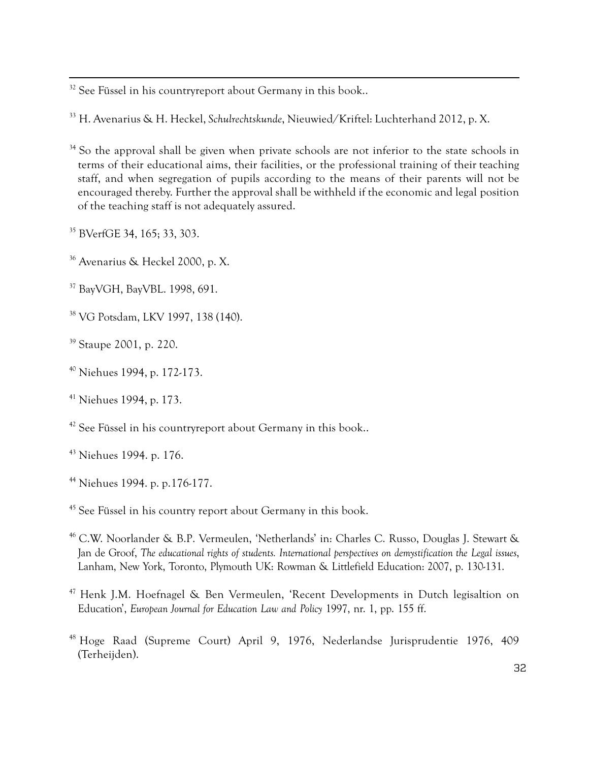<span id="page-31-0"></span>See Füssel in his countryreport about Germany in this book..

<span id="page-31-1"></span>H. Avenarius & H. Heckel, *Schulrechtskunde*, Nieuwied/Kriftel: Luchterhand 2012, p. X.

- <span id="page-31-2"></span> So the approval shall be given when private schools are not inferior to the state schools in terms of their educational aims, their facilities, or the professional training of their teaching staff, and when segregation of pupils according to the means of their parents will not be encouraged thereby. Further the approval shall be withheld if the economic and legal position of the teaching staff is not adequately assured.
- <span id="page-31-3"></span>BVerfGE 34, 165; 33, 303.

 $\overline{a}$ 

- <span id="page-31-4"></span>Avenarius & Heckel 2000, p. X.
- <span id="page-31-5"></span>BayVGH, BayVBL. 1998, 691.
- <span id="page-31-6"></span>VG Potsdam, LKV 1997, 138 (140).
- <span id="page-31-7"></span>Staupe 2001, p. 220.
- <span id="page-31-8"></span>Niehues 1994, p. 172-173.
- <span id="page-31-9"></span>Niehues 1994, p. 173.
- <span id="page-31-10"></span><sup>42</sup> See Füssel in his countryreport about Germany in this book..
- <span id="page-31-11"></span>Niehues 1994. p. 176.
- <span id="page-31-12"></span>Niehues 1994. p. p.176-177.
- <span id="page-31-13"></span>See Füssel in his country report about Germany in this book.
- <span id="page-31-14"></span> C.W. Noorlander & B.P. Vermeulen, 'Netherlands' in: Charles C. Russo, Douglas J. Stewart & Jan de Groof, *The educational rights of students. International perspectives on demystification the Legal issues*, Lanham, New York, Toronto, Plymouth UK: Rowman & Littlefield Education: 2007, p. 130-131.
- <span id="page-31-15"></span> Henk J.M. Hoefnagel & Ben Vermeulen, 'Recent Developments in Dutch legisaltion on Education', *European Journal for Education Law and Policy* 1997, nr. 1, pp. 155 ff.
- <span id="page-31-16"></span> Hoge Raad (Supreme Court) April 9, 1976, Nederlandse Jurisprudentie 1976, 409 (Terheijden).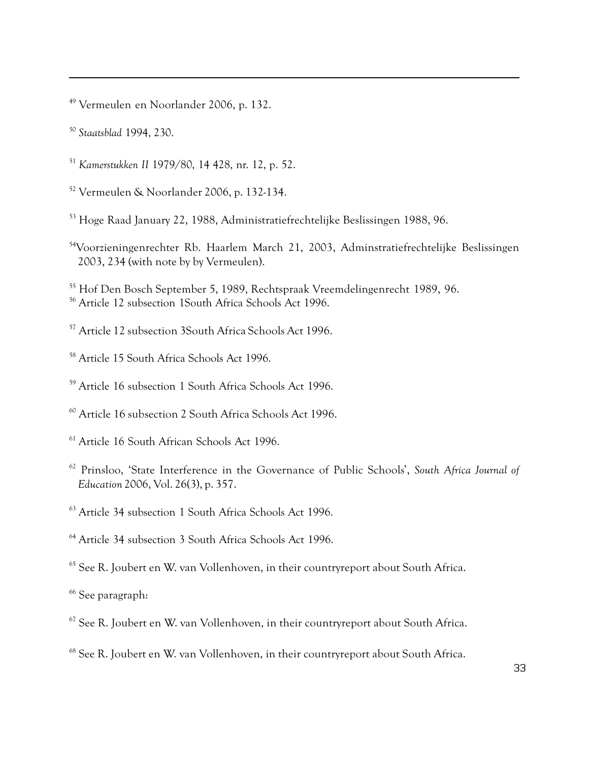<span id="page-32-0"></span>Vermeulen en Noorlander 2006, p. 132.

<span id="page-32-1"></span>*Staatsblad* 1994, 230.

 $\overline{a}$ 

- <span id="page-32-2"></span>*Kamerstukken II* 1979/80, 14 428, nr. 12, p. 52.
- <span id="page-32-3"></span>Vermeulen & Noorlander 2006, p. 132-134.
- <span id="page-32-4"></span>Hoge Raad January 22, 1988, Administratiefrechtelijke Beslissingen 1988, 96.
- <span id="page-32-5"></span>54Voorzieningenrechter Rb. Haarlem March 21, 2003, Adminstratiefrechtelijke Beslissingen 2003, 234 (with note by by Vermeulen).

<span id="page-32-7"></span><span id="page-32-6"></span> Hof Den Bosch September 5, 1989, Rechtspraak Vreemdelingenrecht 1989, 96. Article 12 subsection 1South Africa Schools Act 1996.

- <span id="page-32-8"></span>Article 12 subsection 3South Africa Schools Act 1996.
- <span id="page-32-9"></span>Article 15 South Africa Schools Act 1996.
- <span id="page-32-10"></span>Article 16 subsection 1 South Africa Schools Act 1996.
- <span id="page-32-11"></span>Article 16 subsection 2 South Africa Schools Act 1996.
- <span id="page-32-12"></span><sup>61</sup> Article 16 South African Schools Act 1996.
- <span id="page-32-13"></span> Prinsloo, 'State Interference in the Governance of Public Schools', *South Africa Journal of Education* 2006, Vol. 26(3), p. 357.
- <span id="page-32-14"></span>Article 34 subsection 1 South Africa Schools Act 1996.
- <span id="page-32-15"></span>Article 34 subsection 3 South Africa Schools Act 1996.
- <span id="page-32-16"></span>See R. Joubert en W. van Vollenhoven, in their countryreport about South Africa.
- <span id="page-32-17"></span><sup>66</sup> See paragraph:
- <span id="page-32-18"></span>See R. Joubert en W. van Vollenhoven, in their countryreport about South Africa.
- <span id="page-32-19"></span>See R. Joubert en W. van Vollenhoven, in their countryreport about South Africa.